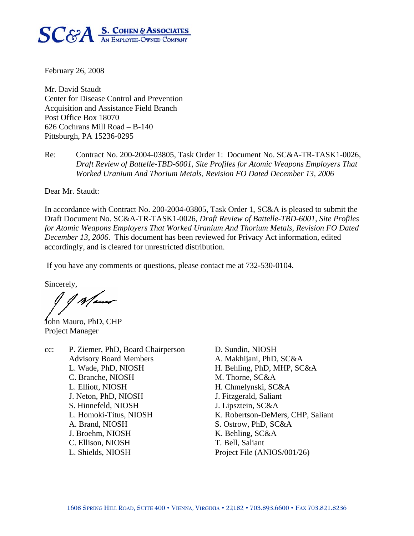

February 26, 2008

Mr. David Staudt Center for Disease Control and Prevention Acquisition and Assistance Field Branch Post Office Box 18070 626 Cochrans Mill Road – B-140 Pittsburgh, PA 15236-0295

Re: Contract No. 200-2004-03805, Task Order 1: Document No. SC&A-TR-TASK1-0026, *Draft Review of Battelle-TBD-6001, Site Profiles for Atomic Weapons Employers That Worked Uranium And Thorium Metals, Revision FO Dated December 13, 2006* 

Dear Mr. Staudt:

In accordance with Contract No. 200-2004-03805, Task Order 1, SC&A is pleased to submit the Draft Document No. SC&A-TR-TASK1-0026, *Draft Review of Battelle-TBD-6001, Site Profiles for Atomic Weapons Employers That Worked Uranium And Thorium Metals, Revision FO Dated December 13, 2006*. This document has been reviewed for Privacy Act information, edited accordingly, and is cleared for unrestricted distribution.

If you have any comments or questions, please contact me at 732-530-0104.

Sincerely,

Maur

John Mauro, PhD, CHP Project Manager

cc: P. Ziemer, PhD, Board Chairperson D. Sundin, NIOSH Advisory Board Members A. Makhijani, PhD, SC&A L. Wade, PhD, NIOSH H. Behling, PhD, MHP, SC&A C. Branche, NIOSH M. Thorne, SC&A L. Elliott, NIOSH H. Chmelynski, SC&A J. Neton, PhD, NIOSH J. Fitzgerald, Saliant S. Hinnefeld, NIOSH J. Lipsztein, SC&A L. Homoki-Titus, NIOSH K. Robertson-DeMers, CHP, Saliant A. Brand, NIOSH S. Ostrow, PhD, SC&A J. Broehm, NIOSH K. Behling, SC&A C. Ellison, NIOSH T. Bell, Saliant L. Shields, NIOSH Project File (ANIOS/001/26)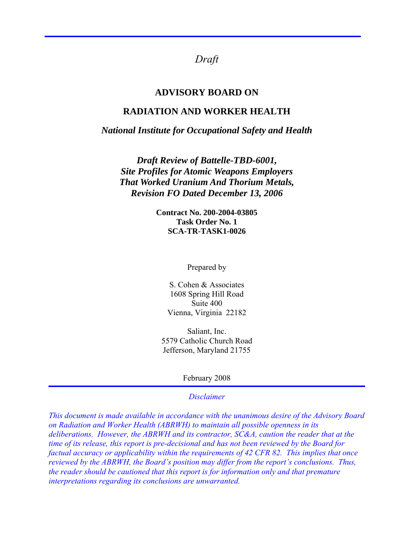*Draft* 

### **ADVISORY BOARD ON**

## **RADIATION AND WORKER HEALTH**

#### *National Institute for Occupational Safety and Health*

*Draft Review of Battelle-TBD-6001, Site Profiles for Atomic Weapons Employers That Worked Uranium And Thorium Metals, Revision FO Dated December 13, 2006* 

> **Contract No. 200-2004-03805 Task Order No. 1 SCA-TR-TASK1-0026**

> > Prepared by

S. Cohen & Associates 1608 Spring Hill Road Suite 400 Vienna, Virginia 22182

Saliant, Inc. 5579 Catholic Church Road Jefferson, Maryland 21755

February 2008

#### *Disclaimer*

*This document is made available in accordance with the unanimous desire of the Advisory Board on Radiation and Worker Health (ABRWH) to maintain all possible openness in its deliberations. However, the ABRWH and its contractor, SC&A, caution the reader that at the time of its release, this report is pre-decisional and has not been reviewed by the Board for factual accuracy or applicability within the requirements of 42 CFR 82. This implies that once reviewed by the ABRWH, the Board's position may differ from the report's conclusions. Thus, the reader should be cautioned that this report is for information only and that premature interpretations regarding its conclusions are unwarranted.*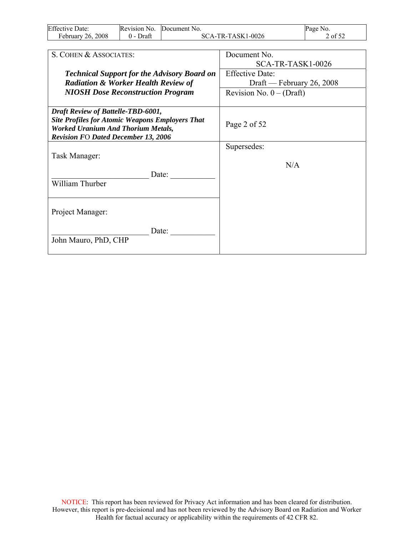| <b>Effective Date:</b> | Revision No.  | Document No.      | Page No. |
|------------------------|---------------|-------------------|----------|
| February 26, 2008      | Draft<br>() – | SCA-TR-TASK1-0026 | 2 of 52  |

| S. COHEN & ASSOCIATES:                                                                                                                                                                  | Document No.               |
|-----------------------------------------------------------------------------------------------------------------------------------------------------------------------------------------|----------------------------|
|                                                                                                                                                                                         | SCA-TR-TASK1-0026          |
| <b>Technical Support for the Advisory Board on</b>                                                                                                                                      | <b>Effective Date:</b>     |
| <b>Radiation &amp; Worker Health Review of</b>                                                                                                                                          | Draft — February 26, 2008  |
| <b>NIOSH Dose Reconstruction Program</b>                                                                                                                                                | Revision No. $0 - (Draff)$ |
|                                                                                                                                                                                         |                            |
| Draft Review of Battelle-TBD-6001,<br><b>Site Profiles for Atomic Weapons Employers That</b><br><b>Worked Uranium And Thorium Metals,</b><br><b>Revision FO Dated December 13, 2006</b> | Page 2 of 52               |
|                                                                                                                                                                                         | Supersedes:                |
| Task Manager:                                                                                                                                                                           |                            |
| Date:<br>William Thurber                                                                                                                                                                | N/A                        |
| Project Manager:                                                                                                                                                                        |                            |
| Date:<br>John Mauro, PhD, CHP                                                                                                                                                           |                            |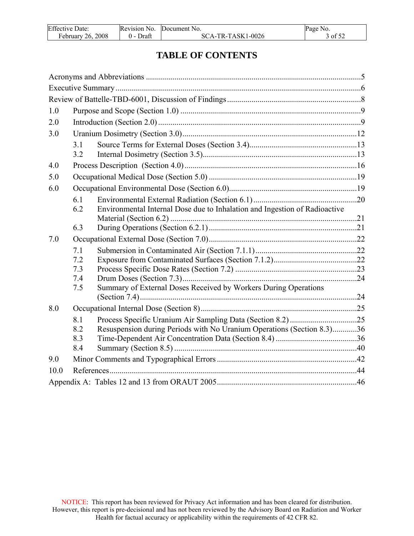| <b>Effective Date:</b> | Revision No. | Document No.      | Page No. |
|------------------------|--------------|-------------------|----------|
| February 26, 2008      | 0 - Draft    | SCA-TR-TASK1-0026 | 3 of 52  |

# **TABLE OF CONTENTS**

| 1.0  |            |                                                                            |  |
|------|------------|----------------------------------------------------------------------------|--|
| 2.0  |            |                                                                            |  |
| 3.0  |            |                                                                            |  |
|      | 3.1<br>3.2 |                                                                            |  |
| 4.0  |            |                                                                            |  |
| 5.0  |            |                                                                            |  |
| 6.0  |            |                                                                            |  |
|      | 6.1<br>6.2 | Environmental Internal Dose due to Inhalation and Ingestion of Radioactive |  |
|      |            |                                                                            |  |
|      | 6.3        |                                                                            |  |
| 7.0  |            |                                                                            |  |
|      | 7.1        |                                                                            |  |
|      | 7.2<br>7.3 |                                                                            |  |
|      | 7.4        |                                                                            |  |
|      | 7.5        | Summary of External Doses Received by Workers During Operations            |  |
|      |            |                                                                            |  |
| 8.0  |            |                                                                            |  |
|      | 8.1        |                                                                            |  |
|      | 8.2        | Resuspension during Periods with No Uranium Operations (Section 8.3)36     |  |
|      | 8.3        |                                                                            |  |
|      | 8.4        |                                                                            |  |
| 9.0  |            |                                                                            |  |
| 10.0 |            |                                                                            |  |
|      |            |                                                                            |  |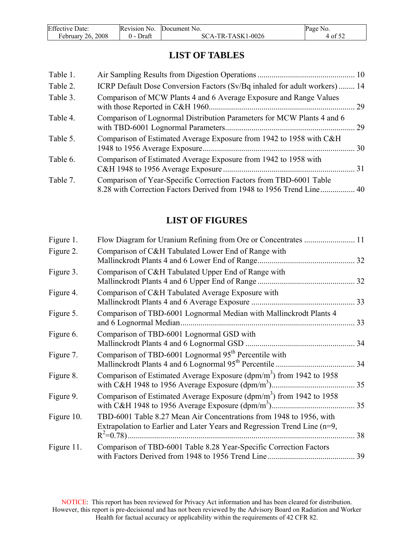| <b>Effective Date:</b> | Revision No. | Document No.      | Page No. |
|------------------------|--------------|-------------------|----------|
| February 26, 2008      | Draft        | SCA-TR-TASK1-0026 | 4 of 52  |

# **LIST OF TABLES**

| Table 1. |                                                                            |  |
|----------|----------------------------------------------------------------------------|--|
| Table 2. | ICRP Default Dose Conversion Factors (Sv/Bq inhaled for adult workers)  14 |  |
| Table 3. | Comparison of MCW Plants 4 and 6 Average Exposure and Range Values         |  |
| Table 4. | Comparison of Lognormal Distribution Parameters for MCW Plants 4 and 6     |  |
| Table 5. | Comparison of Estimated Average Exposure from 1942 to 1958 with C&H        |  |
| Table 6. | Comparison of Estimated Average Exposure from 1942 to 1958 with            |  |
| Table 7. | Comparison of Year-Specific Correction Factors from TBD-6001 Table         |  |

# **LIST OF FIGURES**

| Figure 1.  |                                                                                                                                                      |    |
|------------|------------------------------------------------------------------------------------------------------------------------------------------------------|----|
| Figure 2.  | Comparison of C&H Tabulated Lower End of Range with<br>Mallinckrodt Plants 4 and 6 Lower End of Range                                                | 32 |
| Figure 3.  | Comparison of C&H Tabulated Upper End of Range with                                                                                                  |    |
| Figure 4.  | Comparison of C&H Tabulated Average Exposure with                                                                                                    | 33 |
| Figure 5.  | Comparison of TBD-6001 Lognormal Median with Mallinckrodt Plants 4                                                                                   |    |
| Figure 6.  | Comparison of TBD-6001 Lognormal GSD with                                                                                                            | 34 |
| Figure 7.  | Comparison of TBD-6001 Lognormal 95 <sup>th</sup> Percentile with                                                                                    | 34 |
| Figure 8.  | Comparison of Estimated Average Exposure ( $dpm/m3$ ) from 1942 to 1958                                                                              | 35 |
| Figure 9.  | Comparison of Estimated Average Exposure ( $dpm/m3$ ) from 1942 to 1958                                                                              |    |
| Figure 10. | TBD-6001 Table 8.27 Mean Air Concentrations from 1948 to 1956, with<br>Extrapolation to Earlier and Later Years and Regression Trend Line $(n=9, 1)$ | 38 |
| Figure 11. | Comparison of TBD-6001 Table 8.28 Year-Specific Correction Factors                                                                                   | 39 |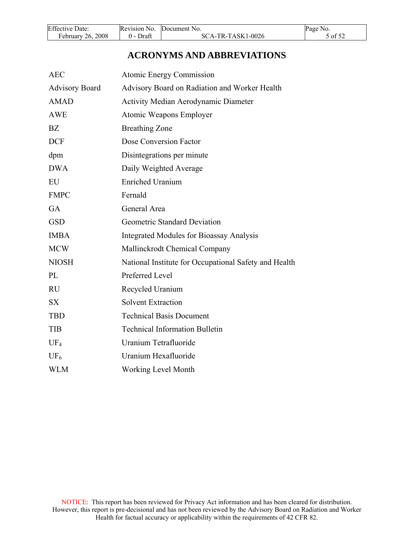<span id="page-5-0"></span>

| <b>Effective Date:</b> | Revision No. | Document No.      | Page No. |
|------------------------|--------------|-------------------|----------|
| February 26, 2008      | Draft        | SCA-TR-TASK1-0026 | 5 of 52  |

# **ACRONYMS AND ABBREVIATIONS**

| <b>AEC</b>            | <b>Atomic Energy Commission</b>                       |
|-----------------------|-------------------------------------------------------|
| <b>Advisory Board</b> | Advisory Board on Radiation and Worker Health         |
| <b>AMAD</b>           | <b>Activity Median Aerodynamic Diameter</b>           |
| <b>AWE</b>            | Atomic Weapons Employer                               |
| BZ                    | <b>Breathing Zone</b>                                 |
| <b>DCF</b>            | Dose Conversion Factor                                |
| dpm                   | Disintegrations per minute                            |
| <b>DWA</b>            | Daily Weighted Average                                |
| EU                    | <b>Enriched Uranium</b>                               |
| <b>FMPC</b>           | Fernald                                               |
| <b>GA</b>             | General Area                                          |
| <b>GSD</b>            | Geometric Standard Deviation                          |
| <b>IMBA</b>           | <b>Integrated Modules for Bioassay Analysis</b>       |
| <b>MCW</b>            | Mallinckrodt Chemical Company                         |
| <b>NIOSH</b>          | National Institute for Occupational Safety and Health |
| PL                    | Preferred Level                                       |
| <b>RU</b>             | Recycled Uranium                                      |
| <b>SX</b>             | <b>Solvent Extraction</b>                             |
| <b>TBD</b>            | <b>Technical Basis Document</b>                       |
| <b>TIB</b>            | <b>Technical Information Bulletin</b>                 |
| $UF_4$                | Uranium Tetrafluoride                                 |
| UF <sub>6</sub>       | Uranium Hexafluoride                                  |
| <b>WLM</b>            | <b>Working Level Month</b>                            |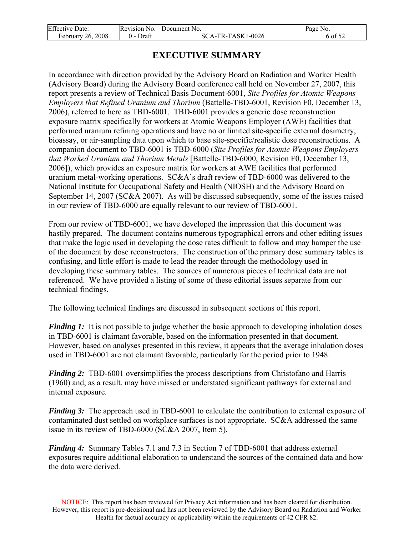<span id="page-6-0"></span>

| <b>Effective Date:</b> | Revision No. | Document No.      | Page No. |
|------------------------|--------------|-------------------|----------|
| February 26, 2008      | Draft        | SCA-TR-TASK1-0026 | -01 52   |

# **EXECUTIVE SUMMARY**

In accordance with direction provided by the Advisory Board on Radiation and Worker Health (Advisory Board) during the Advisory Board conference call held on November 27, 2007, this report presents a review of Technical Basis Document-6001, *Site Profiles for Atomic Weapons Employers that Refined Uranium and Thorium* (Battelle-TBD-6001, Revision F0, December 13, 2006), referred to here as TBD-6001. TBD-6001 provides a generic dose reconstruction exposure matrix specifically for workers at Atomic Weapons Employer (AWE) facilities that performed uranium refining operations and have no or limited site-specific external dosimetry, bioassay, or air-sampling data upon which to base site-specific/realistic dose reconstructions. A companion document to TBD-6001 is TBD-6000 (*Site Profiles for Atomic Weapons Employers that Worked Uranium and Thorium Metals* [Battelle-TBD-6000, Revision F0, December 13, 2006]), which provides an exposure matrix for workers at AWE facilities that performed uranium metal-working operations. SC&A's draft review of TBD-6000 was delivered to the National Institute for Occupational Safety and Health (NIOSH) and the Advisory Board on September 14, 2007 (SC&A 2007). As will be discussed subsequently, some of the issues raised in our review of TBD-6000 are equally relevant to our review of TBD-6001.

From our review of TBD-6001, we have developed the impression that this document was hastily prepared. The document contains numerous typographical errors and other editing issues that make the logic used in developing the dose rates difficult to follow and may hamper the use of the document by dose reconstructors. The construction of the primary dose summary tables is confusing, and little effort is made to lead the reader through the methodology used in developing these summary tables. The sources of numerous pieces of technical data are not referenced. We have provided a listing of some of these editorial issues separate from our technical findings.

The following technical findings are discussed in subsequent sections of this report.

*Finding 1:* It is not possible to judge whether the basic approach to developing inhalation doses in TBD-6001 is claimant favorable, based on the information presented in that document. However, based on analyses presented in this review, it appears that the average inhalation doses used in TBD-6001 are not claimant favorable, particularly for the period prior to 1948.

*Finding 2:* TBD-6001 oversimplifies the process descriptions from Christofano and Harris (1960) and, as a result, may have missed or understated significant pathways for external and internal exposure.

*Finding 3:* The approach used in TBD-6001 to calculate the contribution to external exposure of contaminated dust settled on workplace surfaces is not appropriate. SC&A addressed the same issue in its review of TBD-6000 (SC&A 2007, Item 5).

*Finding 4:* Summary Tables 7.1 and 7.3 in Section 7 of TBD-6001 that address external exposures require additional elaboration to understand the sources of the contained data and how the data were derived.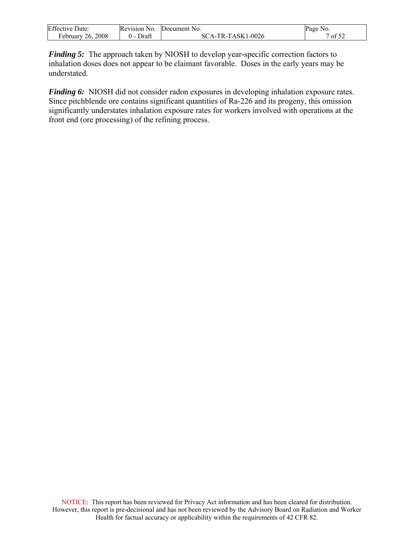| <b>Effective Date:</b> | Revision No. | Document No.      | Page No. |
|------------------------|--------------|-------------------|----------|
| February 26, 2008      | Draft        | SCA-TR-TASK1-0026 | of 52    |

*Finding 5:* The approach taken by NIOSH to develop year-specific correction factors to inhalation doses does not appear to be claimant favorable. Doses in the early years may be understated.

*Finding 6:* NIOSH did not consider radon exposures in developing inhalation exposure rates. Since pitchblende ore contains significant quantities of Ra-226 and its progeny, this omission significantly understates inhalation exposure rates for workers involved with operations at the front end (ore processing) of the refining process.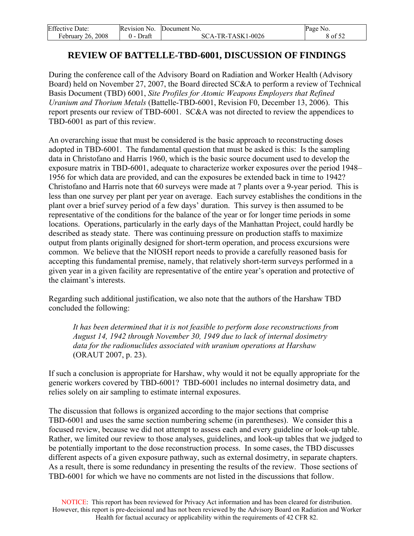<span id="page-8-0"></span>

| <b>Effective Date:</b> | Revision No. | Document No.      | Page No. |
|------------------------|--------------|-------------------|----------|
| February 26, 2008      | Draft        | SCA-TR-TASK1-0026 | 8 of 52  |

## **REVIEW OF BATTELLE-TBD-6001, DISCUSSION OF FINDINGS**

During the conference call of the Advisory Board on Radiation and Worker Health (Advisory Board) held on November 27, 2007, the Board directed SC&A to perform a review of Technical Basis Document (TBD) 6001, *Site Profiles for Atomic Weapons Employers that Refined Uranium and Thorium Metals* (Battelle-TBD-6001, Revision F0, December 13, 2006). This report presents our review of TBD-6001. SC&A was not directed to review the appendices to TBD-6001 as part of this review.

An overarching issue that must be considered is the basic approach to reconstructing doses adopted in TBD-6001. The fundamental question that must be asked is this: Is the sampling data in Christofano and Harris 1960, which is the basic source document used to develop the exposure matrix in TBD-6001, adequate to characterize worker exposures over the period 1948– 1956 for which data are provided, and can the exposures be extended back in time to 1942? Christofano and Harris note that 60 surveys were made at 7 plants over a 9-year period. This is less than one survey per plant per year on average. Each survey establishes the conditions in the plant over a brief survey period of a few days' duration. This survey is then assumed to be representative of the conditions for the balance of the year or for longer time periods in some locations. Operations, particularly in the early days of the Manhattan Project, could hardly be described as steady state. There was continuing pressure on production staffs to maximize output from plants originally designed for short-term operation, and process excursions were common. We believe that the NIOSH report needs to provide a carefully reasoned basis for accepting this fundamental premise, namely, that relatively short-term surveys performed in a given year in a given facility are representative of the entire year's operation and protective of the claimant's interests.

Regarding such additional justification, we also note that the authors of the Harshaw TBD concluded the following:

*It has been determined that it is not feasible to perform dose reconstructions from August 14, 1942 through November 30, 1949 due to lack of internal dosimetry data for the radionuclides associated with uranium operations at Harshaw* (ORAUT 2007, p. 23).

If such a conclusion is appropriate for Harshaw, why would it not be equally appropriate for the generic workers covered by TBD-6001? TBD-6001 includes no internal dosimetry data, and relies solely on air sampling to estimate internal exposures.

The discussion that follows is organized according to the major sections that comprise TBD-6001 and uses the same section numbering scheme (in parentheses). We consider this a focused review, because we did not attempt to assess each and every guideline or look-up table. Rather, we limited our review to those analyses, guidelines, and look-up tables that we judged to be potentially important to the dose reconstruction process. In some cases, the TBD discusses different aspects of a given exposure pathway, such as external dosimetry, in separate chapters. As a result, there is some redundancy in presenting the results of the review. Those sections of TBD-6001 for which we have no comments are not listed in the discussions that follow.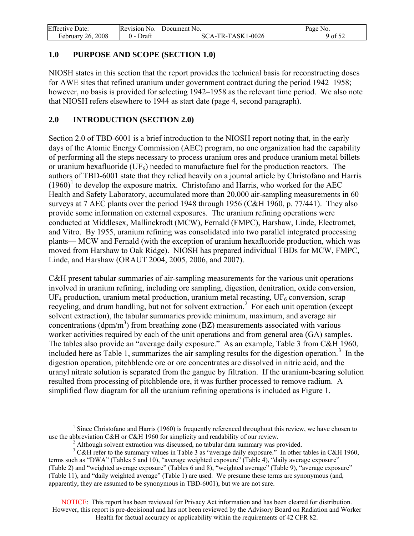<span id="page-9-0"></span>

| <b>Effective Date:</b> | Revision No.     | Document No.      | Page No. |
|------------------------|------------------|-------------------|----------|
| February 26, 2008      | Draft<br>$($ ) – | SCA-TR-TASK1-0026 | 9 of 52  |

## **1.0 PURPOSE AND SCOPE (SECTION 1.0)**

NIOSH states in this section that the report provides the technical basis for reconstructing doses for AWE sites that refined uranium under government contract during the period 1942–1958; however, no basis is provided for selecting 1942–1958 as the relevant time period. We also note that NIOSH refers elsewhere to 1944 as start date (page 4, second paragraph).

## **2.0 INTRODUCTION (SECTION 2.0)**

Section 2.0 of TBD-6001 is a brief introduction to the NIOSH report noting that, in the early days of the Atomic Energy Commission (AEC) program, no one organization had the capability of performing all the steps necessary to process uranium ores and produce uranium metal billets or uranium hexafluoride ( $UF_6$ ) needed to manufacture fuel for the production reactors. The authors of TBD-6001 state that they relied heavily on a journal article by Christofano and Harris  $(1960)^{1}$  $(1960)^{1}$  $(1960)^{1}$  to develop the exposure matrix. Christofano and Harris, who worked for the AEC Health and Safety Laboratory, accumulated more than 20,000 air-sampling measurements in 60 surveys at 7 AEC plants over the period 1948 through 1956 (C&H 1960, p. 77/441). They also provide some information on external exposures. The uranium refining operations were conducted at Middlesex, Mallinckrodt (MCW), Fernald (FMPC), Harshaw, Linde, Electromet, and Vitro. By 1955, uranium refining was consolidated into two parallel integrated processing plants— MCW and Fernald (with the exception of uranium hexafluoride production, which was moved from Harshaw to Oak Ridge). NIOSH has prepared individual TBDs for MCW, FMPC, Linde, and Harshaw (ORAUT 2004, 2005, 2006, and 2007).

C&H present tabular summaries of air-sampling measurements for the various unit operations involved in uranium refining, including ore sampling, digestion, denitration, oxide conversion,  $UF<sub>4</sub>$  production, uranium metal production, uranium metal recasting,  $UF<sub>6</sub>$  conversion, scrap recycling, and drum handling, but not for solvent extraction.<sup>[2](#page-9-2)</sup> For each unit operation (except solvent extraction), the tabular summaries provide minimum, maximum, and average air concentrations ( $dpm/m<sup>3</sup>$ ) from breathing zone (BZ) measurements associated with various worker activities required by each of the unit operations and from general area (GA) samples. The tables also provide an "average daily exposure." As an example, Table 3 from C&H 1960, included here as Table 1, summarizes the air sampling results for the digestion operation.<sup>[3](#page-9-3)</sup> In the digestion operation, pitchblende ore or ore concentrates are dissolved in nitric acid, and the uranyl nitrate solution is separated from the gangue by filtration. If the uranium-bearing solution resulted from processing of pitchblende ore, it was further processed to remove radium. A simplified flow diagram for all the uranium refining operations is included as Figure 1.

<span id="page-9-1"></span> $\begin{array}{c|c}\n\hline\n\end{array}$ <sup>1</sup> Since Christofano and Harris (1960) is frequently referenced throughout this review, we have chosen to use the abbreviation C&H or C&H 1960 for simplicity and readability of our review.

<sup>&</sup>lt;sup>2</sup> Although solvent extraction was discussed, no tabular data summary was provided.

<span id="page-9-3"></span><span id="page-9-2"></span> $3$  C&H refer to the summary values in Table 3 as "average daily exposure." In other tables in C&H 1960, terms such as "DWA" (Tables 5 and 10), "average weighted exposure" (Table 4), "daily average exposure" (Table 2) and "weighted average exposure" (Tables 6 and 8), "weighted average" (Table 9), "average exposure" (Table 11), and "daily weighted average" (Table 1) are used. We presume these terms are synonymous (and, apparently, they are assumed to be synonymous in TBD-6001), but we are not sure.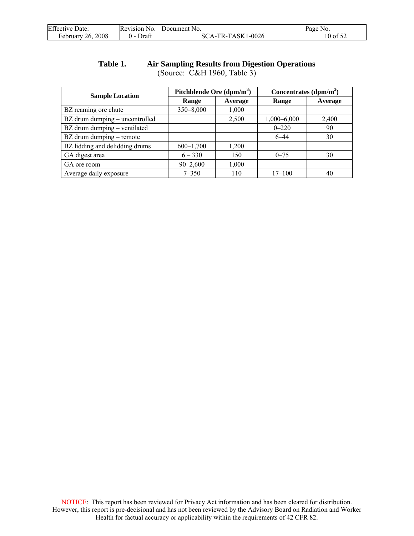<span id="page-10-0"></span>

| <b>Effective Date:</b> | Revision No. | Document No.      | Page No. |
|------------------------|--------------|-------------------|----------|
| February 26, 2008      | Draft        | SCA-TR-TASK1-0026 | 10 of 52 |

### **Table 1. Air Sampling Results from Digestion Operations**  (Source: C&H 1960, Table 3)

| <b>Sample Location</b>         | Pitchblende Ore (dpm/m <sup>3</sup> ) |         | Concentrates $(dpm/m^3)$ |         |
|--------------------------------|---------------------------------------|---------|--------------------------|---------|
|                                | Range                                 | Average | Range                    | Average |
| BZ reaming ore chute           | 350-8,000                             | 1,000   |                          |         |
| BZ drum dumping – uncontrolled |                                       | 2,500   | $1,000 - 6,000$          | 2,400   |
| BZ drum dumping - ventilated   |                                       |         | $0 - 220$                | 90      |
| BZ drum dumping – remote       |                                       |         | $6 - 44$                 | 30      |
| BZ lidding and delidding drums | $600-1,700$                           | 1,200   |                          |         |
| GA digest area                 | $6 - 330$                             | 150     | $0 - 75$                 | 30      |
| GA ore room                    | $90 - 2,600$                          | 1,000   |                          |         |
| Average daily exposure         | $7 - 350$                             | 110     | $17 - 100$               | 40      |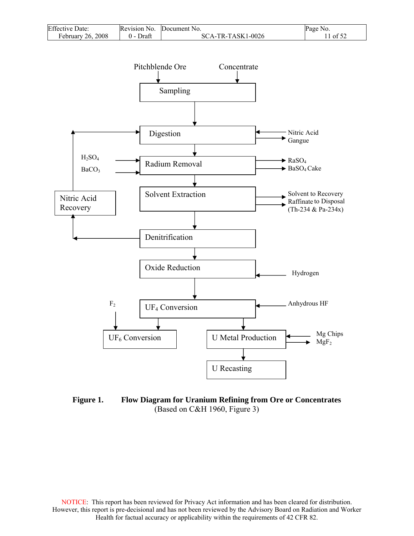<span id="page-11-0"></span>

| <b>Effective Date:</b> | Revision No. | Document No.        | Page No.                                   |
|------------------------|--------------|---------------------|--------------------------------------------|
| February 26, 2008      | Draft<br>0 - | $SCA-TR-TASK1-0026$ | $\cdot$ of 5 <sup><math>\circ</math></sup> |



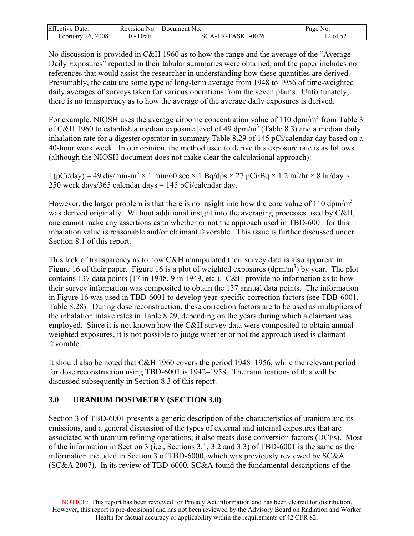<span id="page-12-0"></span>

| <b>Effective Date:</b> | Revision No.     | Document No.      | Page No. |
|------------------------|------------------|-------------------|----------|
| 26, 2008<br>February   | Draft<br>$($ ) – | SCA-TR-TASK1-0026 | 12 of 52 |

No discussion is provided in C&H 1960 as to how the range and the average of the "Average Daily Exposures" reported in their tabular summaries were obtained, and the paper includes no references that would assist the researcher in understanding how these quantities are derived. Presumably, the data are some type of long-term average from 1948 to 1956 of time-weighted daily averages of surveys taken for various operations from the seven plants. Unfortunately, there is no transparency as to how the average of the average daily exposures is derived.

For example, NIOSH uses the average airborne concentration value of 110 dpm/m<sup>3</sup> from Table 3 of C&H 1960 to establish a median exposure level of 49 dpm/m<sup>3</sup> (Table 8.3) and a median daily inhalation rate for a digester operator in summary Table 8.29 of 145 pCi/calendar day based on a 40-hour work week. In our opinion, the method used to derive this exposure rate is as follows (although the NIOSH document does not make clear the calculational approach):

I (pCi/day) = 49 dis/min-m<sup>3</sup>  $\times$  1 min/60 sec  $\times$  1 Bq/dps  $\times$  27 pCi/Bq  $\times$  1.2 m<sup>3</sup>/hr  $\times$  8 hr/day  $\times$ 250 work days/365 calendar days = 145 pCi/calendar day.

However, the larger problem is that there is no insight into how the core value of 110 dpm/ $m<sup>3</sup>$ was derived originally. Without additional insight into the averaging processes used by C&H, one cannot make any assertions as to whether or not the approach used in TBD-6001 for this inhalation value is reasonable and/or claimant favorable. This issue is further discussed under Section 8.1 of this report.

This lack of transparency as to how C&H manipulated their survey data is also apparent in Figure 16 of their paper. Figure 16 is a plot of weighted exposures  $(dpm/m<sup>3</sup>)$  by year. The plot contains 137 data points (17 in 1948, 9 in 1949, etc.). C&H provide no information as to how their survey information was composited to obtain the 137 annual data points. The information in Figure 16 was used in TBD-6001 to develop year-specific correction factors (see TDB-6001, Table 8.28). During dose reconstruction, these correction factors are to be used as multipliers of the inhalation intake rates in Table 8.29, depending on the years during which a claimant was employed. Since it is not known how the C&H survey data were composited to obtain annual weighted exposures, it is not possible to judge whether or not the approach used is claimant favorable.

It should also be noted that C&H 1960 covers the period 1948–1956, while the relevant period for dose reconstruction using TBD-6001 is 1942–1958. The ramifications of this will be discussed subsequently in Section 8.3 of this report.

## **3.0 URANIUM DOSIMETRY (SECTION 3.0)**

Section 3 of TBD-6001 presents a generic description of the characteristics of uranium and its emissions, and a general discussion of the types of external and internal exposures that are associated with uranium refining operations; it also treats dose conversion factors (DCFs). Most of the information in Section 3 (i.e., Sections 3.1, 3.2 and 3.3) of TBD-6001 is the same as the information included in Section 3 of TBD-6000, which was previously reviewed by SC&A (SC&A 2007). In its review of TBD-6000, SC&A found the fundamental descriptions of the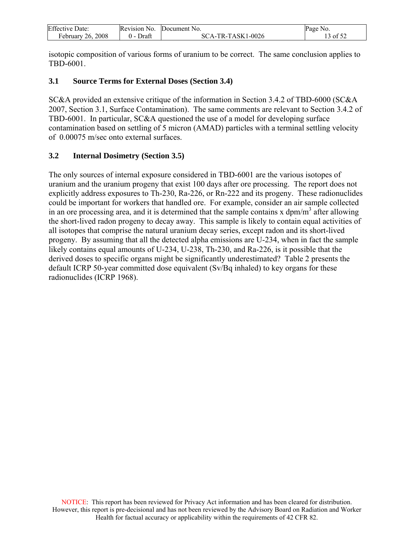<span id="page-13-0"></span>

| <b>Effective Date:</b> | Revision No. | Document No.        | Page No. |
|------------------------|--------------|---------------------|----------|
| 26, 2008<br>February   | Draft        | $SCA-TR-TASK1-0026$ | 13 of 52 |

isotopic composition of various forms of uranium to be correct. The same conclusion applies to TBD-6001.

### **3.1 Source Terms for External Doses (Section 3.4)**

SC&A provided an extensive critique of the information in Section 3.4.2 of TBD-6000 (SC&A 2007, Section 3.1, Surface Contamination). The same comments are relevant to Section 3.4.2 of TBD-6001. In particular, SC&A questioned the use of a model for developing surface contamination based on settling of 5 micron (AMAD) particles with a terminal settling velocity of 0.00075 m/sec onto external surfaces.

## **3.2 Internal Dosimetry (Section 3.5)**

The only sources of internal exposure considered in TBD-6001 are the various isotopes of uranium and the uranium progeny that exist 100 days after ore processing. The report does not explicitly address exposures to Th-230, Ra-226, or Rn-222 and its progeny. These radionuclides could be important for workers that handled ore. For example, consider an air sample collected in an ore processing area, and it is determined that the sample contains x  $dpm/m<sup>3</sup>$  after allowing the short-lived radon progeny to decay away. This sample is likely to contain equal activities of all isotopes that comprise the natural uranium decay series, except radon and its short-lived progeny. By assuming that all the detected alpha emissions are U-234, when in fact the sample likely contains equal amounts of U-234, U-238, Th-230, and Ra-226, is it possible that the derived doses to specific organs might be significantly underestimated? Table 2 presents the default ICRP 50-year committed dose equivalent (Sv/Bq inhaled) to key organs for these radionuclides (ICRP 1968).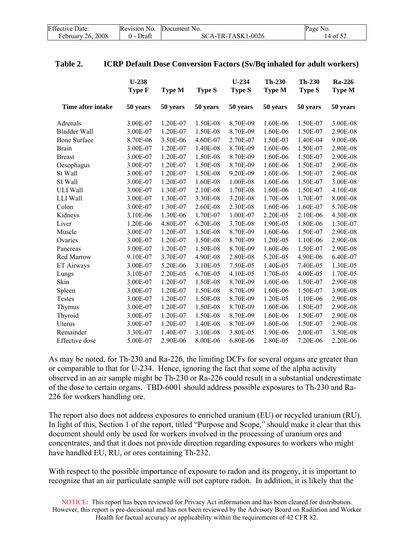<span id="page-14-0"></span>

| <b>Effective Date:</b> | Revision No. | Document No.      | Page No. |
|------------------------|--------------|-------------------|----------|
| February 26, 2008      | Draft        | SCA-TR-TASK1-0026 | 14 of 52 |

#### **Table 2. ICRP Default Dose Conversion Factors (Sv/Bq inhaled for adult workers)**

|                     | $U-238$<br>Type F | <b>Type M</b> | <b>Type S</b> | $U-234$<br><b>Type S</b> | <b>Th-230</b><br><b>Type M</b> | Th-230<br><b>Type S</b> | <b>Ra-226</b><br>Type M |
|---------------------|-------------------|---------------|---------------|--------------------------|--------------------------------|-------------------------|-------------------------|
| Time after intake   | 50 years          | 50 years      | 50 years      | 50 years                 | 50 years                       | 50 years                | 50 years                |
| Adrenals            | 3.00E-07          | 1.20E-07      | 1.50E-08      | 8.70E-09                 | 1.60E-06                       | 1.50E-07                | 3.00E-08                |
| <b>Bladder Wall</b> | 3.00E-07          | 1.20E-07      | 1.50E-08      | 8.70E-09                 | 1.60E-06                       | 1.50E-07                | 2.90E-08                |
| <b>Bone Surface</b> | 8.70E-06          | 3.50E-06      | 4.60E-07      | 2.70E-07                 | 1.50E-03                       | 1.40E-04                | 9.00E-06                |
| <b>Brain</b>        | 3.00E-07          | 1.20E-07      | 1.40E-08      | 8.70E-09                 | 1.60E-06                       | 1.50E-07                | 2.90E-08                |
| <b>Breast</b>       | 3.00E-07          | 1.20E-07      | 1.50E-08      | 8.70E-09                 | 1.60E-06                       | 1.50E-07                | 2.90E-08                |
| Oesophagus          | 3.00E-07          | 1.20E-07      | 1.50E-08      | 8.70E-09                 | 1.60E-06                       | 1.50E-07                | 2.90E-08                |
| St Wall             | 3.00E-07          | 1.20E-07      | 1.50E-08      | 9.20E-09                 | 1.60E-06                       | 1.50E-07                | 2.90E-08                |
| SI Wall             | 3.00E-07          | 1.20E-07      | 1.60E-08      | 1.00E-08                 | 1.60E-06                       | 1.50E-07                | 3.00E-08                |
| ULI Wall            | 3.00E-07          | 1.30E-07      | 2.10E-08      | 1.70E-08                 | 1.60E-06                       | 1.50E-07                | 4.10E-08                |
| LLI Wall            | 3.00E-07          | 1.30E-07      | 3.30E-08      | 3.20E-08                 | 1.70E-06                       | 1.70E-07                | 8.00E-08                |
| Colon               | 3.00E-07          | 1.30E-07      | 2.60E-08      | 2.30E-08                 | 1.60E-06                       | 1.60E-07                | 5.70E-08                |
| Kidneys             | 3.10E-06          | 1.30E-06      | 1.70E-07      | 1.00E-07                 | 2.20E-05                       | 2.10E-06                | 4.30E-08                |
| Liver               | 1.20E-06          | 4.80E-07      | 6.20E-08      | 3.70E-08                 | 1.90E-05                       | 1.80E-06                | 1.30E-07                |
| Muscle              | 3.00E-07          | 1.20E-07      | 1.50E-08      | 8.70E-09                 | 1.60E-06                       | 1.50E-07                | 2.90E-08                |
| Ovaries             | 3.00E-07          | 1.20E-07      | 1.50E-08      | 8.70E-09                 | 1.20E-05                       | 1.10E-06                | 2.90E-08                |
| Pancreas            | 3.00E-07          | 1.20E-07      | 1.50E-08      | 8.70E-09                 | 1.60E-06                       | 1.50E-07                | 2.90E-08                |
| Red Marrow          | 9.10E-07          | 3.70E-07      | 4.90E-08      | 2.80E-08                 | 5.20E-05                       | 4.90E-06                | 6.40E-07                |
| ET Airways          | 3.00E-07          | 5.20E-06      | 3.10E-05      | 7.50E-05                 | 1.40E-05                       | 7.40E-05                | 1.30E-05                |
| Lungs               | 3.10E-07          | 2.20E-05      | 6.70E-05      | 4.10E-05                 | 1.70E-05                       | 4.00E-05                | 1.70E-05                |
| Skin                | 3.00E-07          | 1.20E-07      | 1.50E-08      | 8.70E-09                 | 1.60E-06                       | 1.50E-07                | 2.90E-08                |
| Spleen              | 3.00E-07          | 1.20E-07      | 1.50E-08      | 8.70E-09                 | 1.60E-06                       | 1.50E-07                | 3.90E-08                |
| Testes              | 3.00E-07          | 1.20E-07      | 1.50E-08      | 8.70E-09                 | 1.20E-05                       | 1.10E-06                | 2.90E-08                |
| Thymus              | 3.00E-07          | 1.20E-07      | 1.50E-08      | 8.70E-09                 | 1.60E-06                       | 1.50E-07                | 2.90E-08                |
| Thyroid             | 3.00E-07          | 1.20E-07      | 1.50E-08      | 8.70E-09                 | 1.60E-06                       | 1.50E-07                | 2.90E-08                |
| Uterus              | 3.00E-07          | 1.20E-07      | 1.40E-08      | 8.70E-09                 | 1.60E-06                       | 1.50E-07                | 2.90E-08                |
| Remainder           | 3.30E-07          | 1.40E-07      | 3.10E-08      | 3.80E-05                 | 1.90E-06                       | 2.00E-07                | 3.50E-08                |
| Effective dose      | 5.00E-07          | 2.90E-06      | 8.00E-06      | 6.80E-06                 | 2.80E-05                       | 7.20E-06                | 2.20E-06                |

As may be noted, for Th-230 and Ra-226, the limiting DCFs for several organs are greater than or comparable to that for U-234. Hence, ignoring the fact that some of the alpha activity observed in an air sample might be Th-230 or Ra-226 could result in a substantial underestimate of the dose to certain organs. TBD-6001 should address possible exposures to Th-230 and Ra-226 for workers handling ore.

The report also does not address exposures to enriched uranium (EU) or recycled uranium (RU). In light of this, Section 1 of the report, titled "Purpose and Scope," should make it clear that this document should only be used for workers involved in the processing of uranium ores and concentrates, and that it does not provide direction regarding exposures to workers who might have handled EU, RU, or ores containing Th-232.

With respect to the possible importance of exposure to radon and its progeny, it is important to recognize that an air particulate sample will not capture radon. In addition, it is likely that the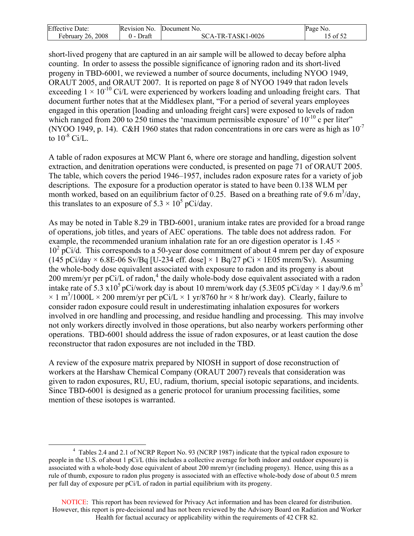<span id="page-15-0"></span>

| Effective<br>Date:      | Revision No. | Document No.                    | Page No. |
|-------------------------|--------------|---------------------------------|----------|
| 2008<br>26.<br>February | Draft        | -TR-TASK1-0026<br>SC.<br>`A - ` | of $52$  |

short-lived progeny that are captured in an air sample will be allowed to decay before alpha counting. In order to assess the possible significance of ignoring radon and its short-lived progeny in TBD-6001, we reviewed a number of source documents, including NYOO 1949, ORAUT 2005, and ORAUT 2007. It is reported on page 8 of NYOO 1949 that radon levels exceeding  $1 \times 10^{-10}$  Ci/L were experienced by workers loading and unloading freight cars. That document further notes that at the Middlesex plant, "For a period of several years employees engaged in this operation [loading and unloading freight cars] were exposed to levels of radon which ranged from 200 to 250 times the 'maximum permissible exposure' of  $10^{-10}$  c per liter" (NYOO 1949, p. 14). C&H 1960 states that radon concentrations in ore cars were as high as  $10^{-7}$ to  $10^{-8}$  Ci/L.

A table of radon exposures at MCW Plant 6, where ore storage and handling, digestion solvent extraction, and denitration operations were conducted, is presented on page 71 of ORAUT 2005. The table, which covers the period 1946–1957, includes radon exposure rates for a variety of job descriptions. The exposure for a production operator is stated to have been 0.138 WLM per month worked, based on an equilibrium factor of 0.25. Based on a breathing rate of 9.6  $\text{m}^3/\text{day}$ , this translates to an exposure of  $5.3 \times 10^5$  pCi/day.

As may be noted in Table 8.29 in TBD-6001, uranium intake rates are provided for a broad range of operations, job titles, and years of AEC operations. The table does not address radon. For example, the recommended uranium inhalation rate for an ore digestion operator is  $1.45 \times$ 10<sup>2</sup> pCi/d. This corresponds to a 50-year dose commitment of about 4 mrem per day of exposure (145 pCi/day  $\times$  6.8E-06 Sv/Bq [U-234 eff. dose]  $\times$  1 Bq/27 pCi  $\times$  1E05 mrem/Sv). Assuming the whole-body dose equivalent associated with exposure to radon and its progeny is about 200 mrem/yr per pCi/L of radon,<sup>[4](#page-15-0)</sup> the daily whole-body dose equivalent associated with a radon intake rate of 5.3 x10<sup>5</sup> pCi/work day is about 10 mrem/work day (5.3E05 pCi/day  $\times$  1 day/9.6 m<sup>3</sup>  $\times$  1 m<sup>3</sup>/1000L  $\times$  200 mrem/yr per pCi/L  $\times$  1 yr/8760 hr  $\times$  8 hr/work day). Clearly, failure to consider radon exposure could result in underestimating inhalation exposures for workers involved in ore handling and processing, and residue handling and processing. This may involve not only workers directly involved in those operations, but also nearby workers performing other operations. TBD-6001 should address the issue of radon exposures, or at least caution the dose reconstructor that radon exposures are not included in the TBD.

A review of the exposure matrix prepared by NIOSH in support of dose reconstruction of workers at the Harshaw Chemical Company (ORAUT 2007) reveals that consideration was given to radon exposures, RU, EU, radium, thorium, special isotopic separations, and incidents. Since TBD-6001 is designed as a generic protocol for uranium processing facilities, some mention of these isotopes is warranted.

 $\frac{1}{4}$  Tables 2.4 and 2.1 of NCRP Report No. 93 (NCRP 1987) indicate that the typical radon exposure to people in the U.S. of about 1 pCi/L (this includes a collective average for both indoor and outdoor exposure) is associated with a whole-body dose equivalent of about 200 mrem/yr (including progeny). Hence, using this as a rule of thumb, exposure to radon plus progeny is associated with an effective whole-body dose of about 0.5 mrem per full day of exposure per pCi/L of radon in partial equilibrium with its progeny.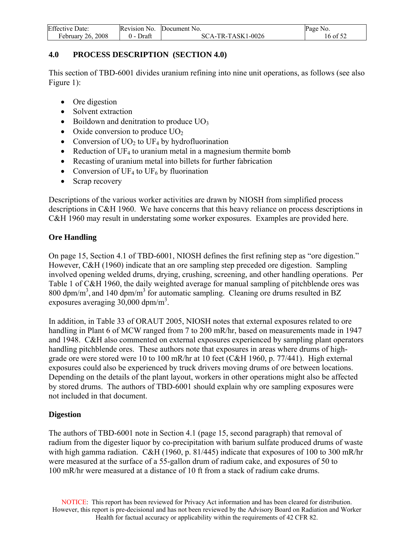<span id="page-16-0"></span>

| <b>Effective Date:</b> | Revision No.    | Document No.      | Page No. |
|------------------------|-----------------|-------------------|----------|
| February $26, 2008$    | Draft<br>$(1 -$ | SCA-TR-TASK1-0026 | 16 of 52 |

## **4.0 PROCESS DESCRIPTION (SECTION 4.0)**

This section of TBD-6001 divides uranium refining into nine unit operations, as follows (see also Figure 1):

- Ore digestion
- Solvent extraction
- Boildown and denitration to produce  $UO<sub>3</sub>$
- Oxide conversion to produce  $UO<sub>2</sub>$
- Conversion of  $UO<sub>2</sub>$  to  $UF<sub>4</sub>$  by hydrofluorination
- Reduction of UF<sub>4</sub> to uranium metal in a magnesium thermite bomb
- Recasting of uranium metal into billets for further fabrication
- Conversion of UF<sub>4</sub> to UF<sub>6</sub> by fluorination
- Scrap recovery

Descriptions of the various worker activities are drawn by NIOSH from simplified process descriptions in C&H 1960. We have concerns that this heavy reliance on process descriptions in C&H 1960 may result in understating some worker exposures. Examples are provided here.

## **Ore Handling**

On page 15, Section 4.1 of TBD-6001, NIOSH defines the first refining step as "ore digestion." However, C&H (1960) indicate that an ore sampling step preceded ore digestion. Sampling involved opening welded drums, drying, crushing, screening, and other handling operations. Per Table 1 of C&H 1960, the daily weighted average for manual sampling of pitchblende ores was 800 dpm/m<sup>3</sup>, and 140 dpm/m<sup>3</sup> for automatic sampling. Cleaning ore drums resulted in BZ exposures averaging  $30,000$  dpm/m<sup>3</sup>.

In addition, in Table 33 of ORAUT 2005, NIOSH notes that external exposures related to ore handling in Plant 6 of MCW ranged from 7 to 200 mR/hr, based on measurements made in 1947 and 1948. C&H also commented on external exposures experienced by sampling plant operators handling pitchblende ores. These authors note that exposures in areas where drums of highgrade ore were stored were 10 to 100 mR/hr at 10 feet (C&H 1960, p. 77/441). High external exposures could also be experienced by truck drivers moving drums of ore between locations. Depending on the details of the plant layout, workers in other operations might also be affected by stored drums. The authors of TBD-6001 should explain why ore sampling exposures were not included in that document.

### **Digestion**

The authors of TBD-6001 note in Section 4.1 (page 15, second paragraph) that removal of radium from the digester liquor by co-precipitation with barium sulfate produced drums of waste with high gamma radiation. C&H (1960, p. 81/445) indicate that exposures of 100 to 300 mR/hr were measured at the surface of a 55-gallon drum of radium cake, and exposures of 50 to 100 mR/hr were measured at a distance of 10 ft from a stack of radium cake drums.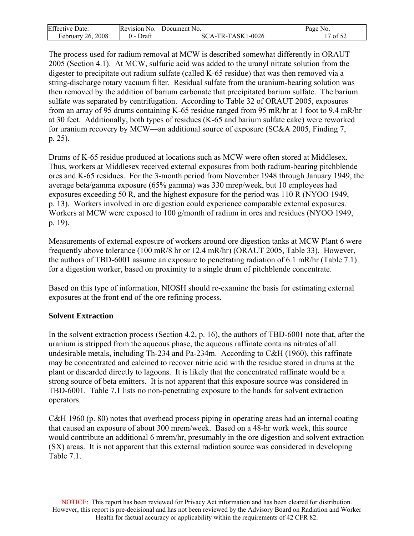| <b>Effective Date:</b> | Revision No.        | Document No.      | Page No. |
|------------------------|---------------------|-------------------|----------|
| 26, 2008<br>ebruary    | Draft<br><u>v -</u> | SCA-TR-TASK1-0026 | of $52$  |

The process used for radium removal at MCW is described somewhat differently in ORAUT 2005 (Section 4.1). At MCW, sulfuric acid was added to the uranyl nitrate solution from the digester to precipitate out radium sulfate (called K-65 residue) that was then removed via a string-discharge rotary vacuum filter. Residual sulfate from the uranium-bearing solution was then removed by the addition of barium carbonate that precipitated barium sulfate. The barium sulfate was separated by centrifugation. According to Table 32 of ORAUT 2005, exposures from an array of 95 drums containing K-65 residue ranged from 95 mR/hr at 1 foot to 9.4 mR/hr at 30 feet. Additionally, both types of residues (K-65 and barium sulfate cake) were reworked for uranium recovery by MCW—an additional source of exposure (SC&A 2005, Finding 7, p. 25).

Drums of K-65 residue produced at locations such as MCW were often stored at Middlesex. Thus, workers at Middlesex received external exposures from both radium-bearing pitchblende ores and K-65 residues. For the 3-month period from November 1948 through January 1949, the average beta/gamma exposure (65% gamma) was 330 mrep/week, but 10 employees had exposures exceeding 50 R, and the highest exposure for the period was 110 R (NYOO 1949, p. 13). Workers involved in ore digestion could experience comparable external exposures. Workers at MCW were exposed to 100 g/month of radium in ores and residues (NYOO 1949, p. 19).

Measurements of external exposure of workers around ore digestion tanks at MCW Plant 6 were frequently above tolerance (100 mR/8 hr or 12.4 mR/hr) (ORAUT 2005, Table 33). However, the authors of TBD-6001 assume an exposure to penetrating radiation of 6.1 mR/hr (Table 7.1) for a digestion worker, based on proximity to a single drum of pitchblende concentrate.

Based on this type of information, NIOSH should re-examine the basis for estimating external exposures at the front end of the ore refining process.

## **Solvent Extraction**

In the solvent extraction process (Section 4.2, p. 16), the authors of TBD-6001 note that, after the uranium is stripped from the aqueous phase, the aqueous raffinate contains nitrates of all undesirable metals, including Th-234 and Pa-234m. According to C&H (1960), this raffinate may be concentrated and calcined to recover nitric acid with the residue stored in drums at the plant or discarded directly to lagoons. It is likely that the concentrated raffinate would be a strong source of beta emitters. It is not apparent that this exposure source was considered in TBD-6001. Table 7.1 lists no non-penetrating exposure to the hands for solvent extraction operators.

C&H 1960 (p. 80) notes that overhead process piping in operating areas had an internal coating that caused an exposure of about 300 mrem/week. Based on a 48-hr work week, this source would contribute an additional 6 mrem/hr, presumably in the ore digestion and solvent extraction (SX) areas. It is not apparent that this external radiation source was considered in developing Table 7.1.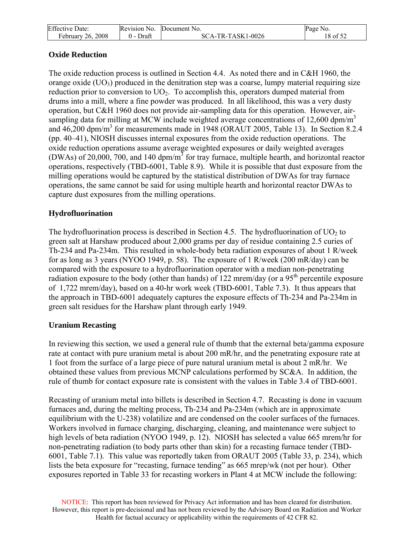| <b>Effective Date:</b> | Revision No.    | Document No.      | Page No. |
|------------------------|-----------------|-------------------|----------|
| February 26, 2008      | Draft<br>$(1 -$ | SCA-TR-TASK1-0026 | 18 of 52 |

### **Oxide Reduction**

The oxide reduction process is outlined in Section 4.4. As noted there and in C&H 1960, the orange oxide  $(UO_3)$  produced in the denitration step was a coarse, lumpy material requiring size reduction prior to conversion to  $UO<sub>2</sub>$ . To accomplish this, operators dumped material from drums into a mill, where a fine powder was produced. In all likelihood, this was a very dusty operation, but C&H 1960 does not provide air-sampling data for this operation. However, airsampling data for milling at MCW include weighted average concentrations of 12,600 dpm/m<sup>3</sup> and 46,200 dpm/m<sup>3</sup> for measurements made in 1948 (ORAUT 2005, Table 13). In Section 8.2.4 (pp. 40–41), NIOSH discusses internal exposures from the oxide reduction operations. The oxide reduction operations assume average weighted exposures or daily weighted averages (DWAs) of 20,000, 700, and 140 dpm/m<sup>3</sup> for tray furnace, multiple hearth, and horizontal reactor operations, respectively (TBD-6001, Table 8.9). While it is possible that dust exposure from the milling operations would be captured by the statistical distribution of DWAs for tray furnace operations, the same cannot be said for using multiple hearth and horizontal reactor DWAs to capture dust exposures from the milling operations.

### **Hydrofluorination**

The hydrofluorination process is described in Section 4.5. The hydrofluorination of  $UO<sub>2</sub>$  to green salt at Harshaw produced about 2,000 grams per day of residue containing 2.5 curies of Th-234 and Pa-234m. This resulted in whole-body beta radiation exposures of about 1 R/week for as long as 3 years (NYOO 1949, p. 58). The exposure of 1 R/week (200 mR/day) can be compared with the exposure to a hydrofluorination operator with a median non-penetrating radiation exposure to the body (other than hands) of 122 mrem/day (or a  $95<sup>th</sup>$  percentile exposure of 1,722 mrem/day), based on a 40-hr work week (TBD-6001, Table 7.3). It thus appears that the approach in TBD-6001 adequately captures the exposure effects of Th-234 and Pa-234m in green salt residues for the Harshaw plant through early 1949.

### **Uranium Recasting**

In reviewing this section, we used a general rule of thumb that the external beta/gamma exposure rate at contact with pure uranium metal is about 200 mR/hr, and the penetrating exposure rate at 1 foot from the surface of a large piece of pure natural uranium metal is about 2 mR/hr. We obtained these values from previous MCNP calculations performed by SC&A. In addition, the rule of thumb for contact exposure rate is consistent with the values in Table 3.4 of TBD-6001.

Recasting of uranium metal into billets is described in Section 4.7. Recasting is done in vacuum furnaces and, during the melting process, Th-234 and Pa-234m (which are in approximate equilibrium with the U-238) volatilize and are condensed on the cooler surfaces of the furnaces. Workers involved in furnace charging, discharging, cleaning, and maintenance were subject to high levels of beta radiation (NYOO 1949, p. 12). NIOSH has selected a value 665 mrem/hr for non-penetrating radiation (to body parts other than skin) for a recasting furnace tender (TBD-6001, Table 7.1). This value was reportedly taken from ORAUT 2005 (Table 33, p. 234), which lists the beta exposure for "recasting, furnace tending" as 665 mrep/wk (not per hour). Other exposures reported in Table 33 for recasting workers in Plant 4 at MCW include the following: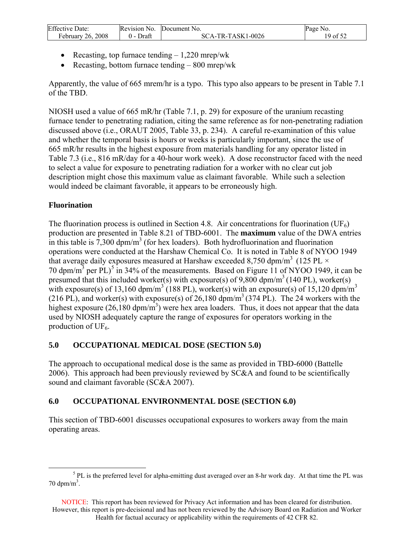<span id="page-19-0"></span>

| <b>Effective Date:</b> | Revision No. | Document No.      | Page No. |
|------------------------|--------------|-------------------|----------|
| 2008<br>February 26, 2 | ⊅raft        | SCA-TR-TASK1-0026 | 19 of 52 |

- Recasting, top furnace tending  $-1,220$  mrep/wk
- Recasting, bottom furnace tending  $-800$  mrep/wk

Apparently, the value of 665 mrem/hr is a typo. This typo also appears to be present in Table 7.1 of the TBD.

NIOSH used a value of 665 mR/hr (Table 7.1, p. 29) for exposure of the uranium recasting furnace tender to penetrating radiation, citing the same reference as for non-penetrating radiation discussed above (i.e., ORAUT 2005, Table 33, p. 234). A careful re-examination of this value and whether the temporal basis is hours or weeks is particularly important, since the use of 665 mR/hr results in the highest exposure from materials handling for any operator listed in Table 7.3 (i.e., 816 mR/day for a 40-hour work week). A dose reconstructor faced with the need to select a value for exposure to penetrating radiation for a worker with no clear cut job description might chose this maximum value as claimant favorable. While such a selection would indeed be claimant favorable, it appears to be erroneously high.

## **Fluorination**

The fluorination process is outlined in Section 4.8. Air concentrations for fluorination ( $UF_6$ ) production are presented in Table 8.21 of TBD-6001. The **maximum** value of the DWA entries in this table is  $7,300$  dpm/m<sup>3</sup> (for hex loaders). Both hydrofluorination and fluorination operations were conducted at the Harshaw Chemical Co. It is noted in Table 8 of NYOO 1949 that average daily exposures measured at Harshaw exceeded 8,750 dpm/m<sup>3</sup> (125 PL  $\times$ 70 dpm/m<sup>3</sup> per PL)<sup>[5](#page-19-0)</sup> in 34% of the measurements. Based on Figure 11 of NYOO 1949, it can be presumed that this included worker(s) with exposure(s) of 9,800 dpm/m<sup>3</sup> (140 PL), worker(s) with exposure(s) of 13,160 dpm/m<sup>3</sup> (188 PL), worker(s) with an exposure(s) of 15,120 dpm/m<sup>3</sup> (216 PL), and worker(s) with exposure(s) of 26,180 dpm/m<sup>3</sup> (374 PL). The 24 workers with the highest exposure  $(26,180 \text{ dpm/m}^3)$  were hex area loaders. Thus, it does not appear that the data used by NIOSH adequately capture the range of exposures for operators working in the production of  $UF_6$ .

## **5.0 OCCUPATIONAL MEDICAL DOSE (SECTION 5.0)**

The approach to occupational medical dose is the same as provided in TBD-6000 (Battelle 2006). This approach had been previously reviewed by SC&A and found to be scientifically sound and claimant favorable (SC&A 2007).

## **6.0 OCCUPATIONAL ENVIRONMENTAL DOSE (SECTION 6.0)**

This section of TBD-6001 discusses occupational exposures to workers away from the main operating areas.

 $rac{1}{5}$  $5$  PL is the preferred level for alpha-emitting dust averaged over an 8-hr work day. At that time the PL was  $70 \text{ dpm/m}^3$ .

NOTICE: This report has been reviewed for Privacy Act information and has been cleared for distribution. However, this report is pre-decisional and has not been reviewed by the Advisory Board on Radiation and Worker Health for factual accuracy or applicability within the requirements of 42 CFR 82.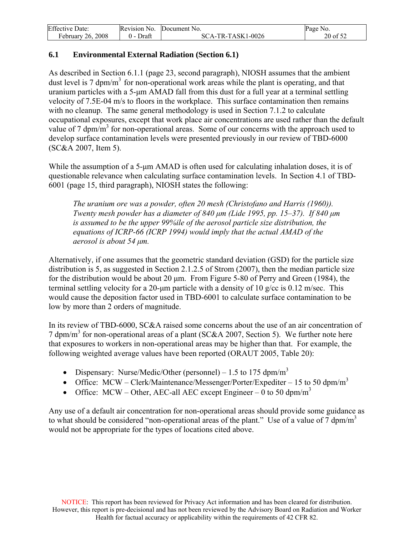<span id="page-20-0"></span>

| <b>Effective Date:</b> | Revision No. | Document No.      | Page No. |
|------------------------|--------------|-------------------|----------|
| February $26, 2008$    | Draft        | SCA-TR-TASK1-0026 | 20 of 52 |

### **6.1 Environmental External Radiation (Section 6.1)**

As described in Section 6.1.1 (page 23, second paragraph), NIOSH assumes that the ambient dust level is 7 dpm/m<sup>3</sup> for non-operational work areas while the plant is operating, and that uranium particles with a 5-μm AMAD fall from this dust for a full year at a terminal settling velocity of 7.5E-04 m/s to floors in the workplace. This surface contamination then remains with no cleanup. The same general methodology is used in Section 7.1.2 to calculate occupational exposures, except that work place air concentrations are used rather than the default value of 7 dpm/ $m<sup>3</sup>$  for non-operational areas. Some of our concerns with the approach used to develop surface contamination levels were presented previously in our review of TBD-6000 (SC&A 2007, Item 5).

While the assumption of a 5-μm AMAD is often used for calculating inhalation doses, it is of questionable relevance when calculating surface contamination levels. In Section 4.1 of TBD-6001 (page 15, third paragraph), NIOSH states the following:

*The uranium ore was a powder, often 20 mesh (Christofano and Harris (1960)). Twenty mesh powder has a diameter of 840 μm (Lide 1995, pp. 15–37). If 840 μm is assumed to be the upper 99%ile of the aerosol particle size distribution, the equations of ICRP-66 (ICRP 1994) would imply that the actual AMAD of the aerosol is about 54 μm.* 

Alternatively, if one assumes that the geometric standard deviation (GSD) for the particle size distribution is 5, as suggested in Section 2.1.2.5 of Strom (2007), then the median particle size for the distribution would be about 20 μm. From Figure 5-80 of Perry and Green (1984), the terminal settling velocity for a 20-μm particle with a density of 10 g/cc is 0.12 m/sec. This would cause the deposition factor used in TBD-6001 to calculate surface contamination to be low by more than 2 orders of magnitude.

In its review of TBD-6000, SC&A raised some concerns about the use of an air concentration of 7 dpm/m<sup>3</sup> for non-operational areas of a plant (SC&A 2007, Section 5). We further note here that exposures to workers in non-operational areas may be higher than that. For example, the following weighted average values have been reported (ORAUT 2005, Table 20):

- Dispensary: Nurse/Medic/Other (personnel) 1.5 to 175 dpm/m<sup>3</sup>
- Office: MCW Clerk/Maintenance/Messenger/Porter/Expediter 15 to 50 dpm/m<sup>3</sup>
- Office: MCW Other, AEC-all AEC except Engineer 0 to 50 dpm/m<sup>3</sup>

Any use of a default air concentration for non-operational areas should provide some guidance as to what should be considered "non-operational areas of the plant." Use of a value of 7 dpm/m<sup>3</sup> would not be appropriate for the types of locations cited above.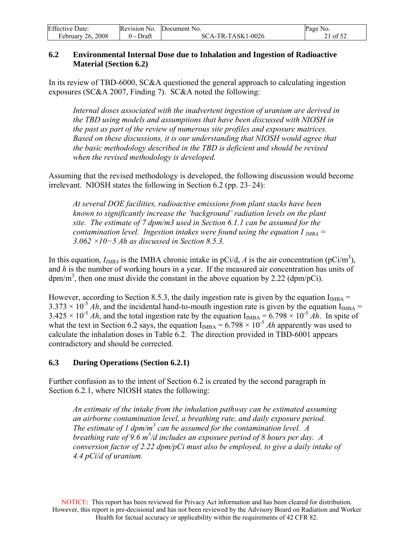<span id="page-21-0"></span>

| <b>Effective Date:</b> | Revision No. | Document No.        | Page No. |
|------------------------|--------------|---------------------|----------|
| February 26, 2008      | Draft        | $SCA-TR-TASK1-0026$ | :1 of 52 |

### **6.2 Environmental Internal Dose due to Inhalation and Ingestion of Radioactive Material (Section 6.2)**

In its review of TBD-6000, SC&A questioned the general approach to calculating ingestion exposures (SC&A 2007, Finding 7). SC&A noted the following:

*Internal doses associated with the inadvertent ingestion of uranium are derived in the TBD using models and assumptions that have been discussed with NIOSH in the past as part of the review of numerous site profiles and exposure matrices. Based on these discussions, it is our understanding that NIOSH would agree that the basic methodology described in the TBD is deficient and should be revised when the revised methodology is developed.* 

Assuming that the revised methodology is developed, the following discussion would become irrelevant. NIOSH states the following in Section 6.2 (pp. 23–24):

*At several DOE facilities, radioactive emissions from plant stacks have been known to significantly increase the 'background' radiation levels on the plant site. The estimate of 7 dpm/m3 used in Section 6.1.1 can be assumed for the contamination level. Ingestion intakes were found using the equation I*  $_{IMBA}$  = *3.062 ×10−5 Ah as discussed in Section 8.5.3.* 

In this equation,  $I_{IMBA}$  is the IMBA chronic intake in pCi/d, *A* is the air concentration (pCi/m<sup>3</sup>), and *h* is the number of working hours in a year. If the measured air concentration has units of  $dpm/m<sup>3</sup>$ , then one must divide the constant in the above equation by 2.22 ( $dpm/pCi$ ).

However, according to Section 8.5.3, the daily ingestion rate is given by the equation  $I_{IMBA}$  =  $3.373 \times 10^{-5}$  *Ah*, and the incidental hand-to-mouth ingestion rate is given by the equation I<sub>IMBA</sub> =  $3.425 \times 10^{-5}$  *Ah*, and the total ingestion rate by the equation  $I_{IMBA} = 6.798 \times 10^{-5}$  *Ah*. In spite of what the text in Section 6.2 says, the equation  $I_{IMBA} = 6.798 \times 10^{-5}$  *Ah* apparently was used to calculate the inhalation doses in Table 6.2. The direction provided in TBD-6001 appears contradictory and should be corrected.

### **6.3 During Operations (Section 6.2.1)**

Further confusion as to the intent of Section 6.2 is created by the second paragraph in Section 6.2.1, where NIOSH states the following:

*An estimate of the intake from the inhalation pathway can be estimated assuming an airborne contamination level, a breathing rate, and daily exposure period.*  The estimate of 1  $dpm/m^3$  can be assumed for the contamination level. A *breathing rate of 9.6 m3 /d includes an exposure period of 8 hours per day. A conversion factor of 2.22 dpm/pCi must also be employed, to give a daily intake of 4.4 pCi/d of uranium.*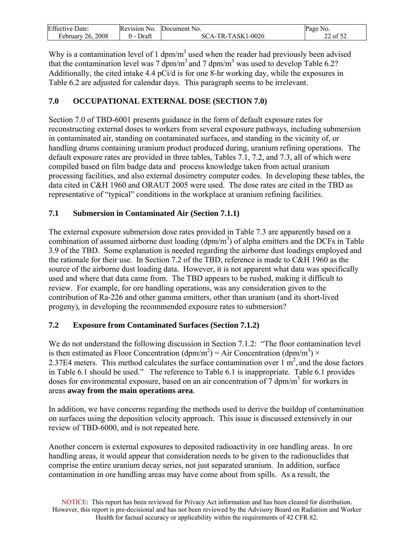<span id="page-22-0"></span>

| Effective<br>. Date: | Revision No. | Document No.                       | Page<br>NO.                 |
|----------------------|--------------|------------------------------------|-----------------------------|
| 26, 2008<br>ebruary  | Draft        | TR-TASK1-0026<br>-SC<br>$\Delta$ - | $\sim$ $\sim$ $\sim$<br>nt. |

Why is a contamination level of 1 dpm/m<sup>3</sup> used when the reader had previously been advised that the contamination level was 7  $dpm/m<sup>3</sup>$  and 7  $dpm/m<sup>3</sup>$  was used to develop Table 6.2? Additionally, the cited intake 4.4 pCi/d is for one 8-hr working day, while the exposures in Table 6.2 are adjusted for calendar days. This paragraph seems to be irrelevant.

## **7.0 OCCUPATIONAL EXTERNAL DOSE (SECTION 7.0)**

Section 7.0 of TBD-6001 presents guidance in the form of default exposure rates for reconstructing external doses to workers from several exposure pathways, including submersion in contaminated air, standing on contaminated surfaces, and standing in the vicinity of, or handling drums containing uranium product produced during, uranium refining operations. The default exposure rates are provided in three tables, Tables 7.1, 7.2, and 7.3, all of which were compiled based on film badge data and process knowledge taken from actual uranium processing facilities, and also external dosimetry computer codes. In developing these tables, the data cited in C&H 1960 and ORAUT 2005 were used. The dose rates are cited in the TBD as representative of "typical" conditions in the workplace at uranium refining facilities.

## **7.1 Submersion in Contaminated Air (Section 7.1.1)**

The external exposure submersion dose rates provided in Table 7.3 are apparently based on a combination of assumed airborne dust loading  $(dpm/m<sup>3</sup>)$  of alpha emitters and the DCFs in Table 3.9 of the TBD. Some explanation is needed regarding the airborne dust loadings employed and the rationale for their use. In Section 7.2 of the TBD, reference is made to C&H 1960 as the source of the airborne dust loading data. However, it is not apparent what data was specifically used and where that data came from. The TBD appears to be rushed, making it difficult to review. For example, for ore handling operations, was any consideration given to the contribution of Ra-226 and other gamma emitters, other than uranium (and its short-lived progeny), in developing the recommended exposure rates to submersion?

## **7.2 Exposure from Contaminated Surfaces (Section 7.1.2)**

We do not understand the following discussion in Section 7.1.2: "The floor contamination level is then estimated as Floor Concentration (dpm/m<sup>2</sup>) = Air Concentration (dpm/m<sup>3</sup>) × 2.37E4 meters. This method calculates the surface contamination over  $1 \text{ m}^2$ , and the dose factors in Table 6.1 should be used." The reference to Table 6.1 is inappropriate. Table 6.1 provides doses for environmental exposure, based on an air concentration of  $\overline{7}$  dpm/m<sup>3</sup> for workers in areas **away from the main operations area**.

In addition, we have concerns regarding the methods used to derive the buildup of contamination on surfaces using the deposition velocity approach. This issue is discussed extensively in our review of TBD-6000, and is not repeated here.

Another concern is external exposures to deposited radioactivity in ore handling areas. In ore handling areas, it would appear that consideration needs to be given to the radionuclides that comprise the entire uranium decay series, not just separated uranium. In addition, surface contamination in ore handling areas may have come about from spills. As a result, the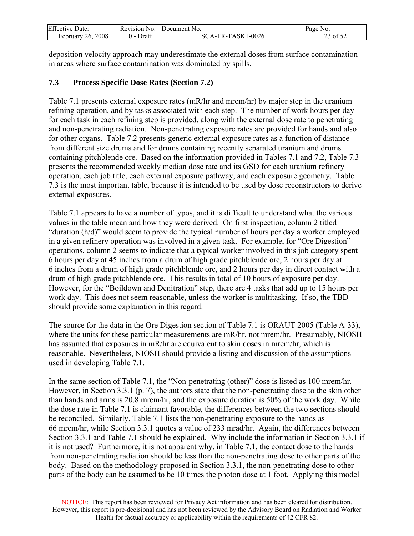<span id="page-23-0"></span>

| <b>Effective Date:</b> | Revision No. | Document No.      | Page No. |
|------------------------|--------------|-------------------|----------|
| February 26, 2008      | Draft        | SCA-TR-TASK1-0026 | 23 of 52 |

deposition velocity approach may underestimate the external doses from surface contamination in areas where surface contamination was dominated by spills.

## **7.3 Process Specific Dose Rates (Section 7.2)**

Table 7.1 presents external exposure rates (mR/hr and mrem/hr) by major step in the uranium refining operation, and by tasks associated with each step. The number of work hours per day for each task in each refining step is provided, along with the external dose rate to penetrating and non-penetrating radiation. Non-penetrating exposure rates are provided for hands and also for other organs. Table 7.2 presents generic external exposure rates as a function of distance from different size drums and for drums containing recently separated uranium and drums containing pitchblende ore. Based on the information provided in Tables 7.1 and 7.2, Table 7.3 presents the recommended weekly median dose rate and its GSD for each uranium refinery operation, each job title, each external exposure pathway, and each exposure geometry. Table 7.3 is the most important table, because it is intended to be used by dose reconstructors to derive external exposures.

Table 7.1 appears to have a number of typos, and it is difficult to understand what the various values in the table mean and how they were derived. On first inspection, column 2 titled "duration (h/d)" would seem to provide the typical number of hours per day a worker employed in a given refinery operation was involved in a given task. For example, for "Ore Digestion" operations, column 2 seems to indicate that a typical worker involved in this job category spent 6 hours per day at 45 inches from a drum of high grade pitchblende ore, 2 hours per day at 6 inches from a drum of high grade pitchblende ore, and 2 hours per day in direct contact with a drum of high grade pitchblende ore. This results in total of 10 hours of exposure per day. However, for the "Boildown and Denitration" step, there are 4 tasks that add up to 15 hours per work day. This does not seem reasonable, unless the worker is multitasking. If so, the TBD should provide some explanation in this regard.

The source for the data in the Ore Digestion section of Table 7.1 is ORAUT 2005 (Table A-33), where the units for these particular measurements are mR/hr, not mrem/hr. Presumably, NIOSH has assumed that exposures in mR/hr are equivalent to skin doses in mrem/hr, which is reasonable. Nevertheless, NIOSH should provide a listing and discussion of the assumptions used in developing Table 7.1.

In the same section of Table 7.1, the "Non-penetrating (other)" dose is listed as 100 mrem/hr. However, in Section 3.3.1 (p. 7), the authors state that the non-penetrating dose to the skin other than hands and arms is 20.8 mrem/hr, and the exposure duration is 50% of the work day. While the dose rate in Table 7.1 is claimant favorable, the differences between the two sections should be reconciled. Similarly, Table 7.1 lists the non-penetrating exposure to the hands as 66 mrem/hr, while Section 3.3.1 quotes a value of 233 mrad/hr. Again, the differences between Section 3.3.1 and Table 7.1 should be explained. Why include the information in Section 3.3.1 if it is not used? Furthermore, it is not apparent why, in Table 7.1, the contact dose to the hands from non-penetrating radiation should be less than the non-penetrating dose to other parts of the body. Based on the methodology proposed in Section 3.3.1, the non-penetrating dose to other parts of the body can be assumed to be 10 times the photon dose at 1 foot. Applying this model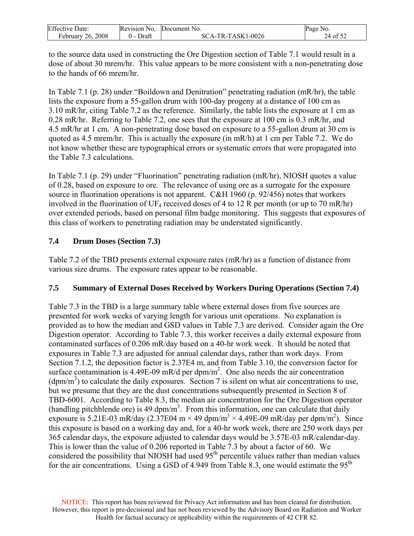<span id="page-24-0"></span>

| <b>Effective Date:</b> | Revision No. | Document No.      | Page<br>No. |
|------------------------|--------------|-------------------|-------------|
| 26, 2008<br>February.  | Draft        | SCA-TR-TASK1-0026 | 24 of 52    |

to the source data used in constructing the Ore Digestion section of Table 7.1 would result in a dose of about 30 mrem/hr. This value appears to be more consistent with a non-penetrating dose to the hands of 66 mrem/hr.

In Table 7.1 (p. 28) under "Boildown and Denitration" penetrating radiation (mR/hr), the table lists the exposure from a 55-gallon drum with 100-day progeny at a distance of 100 cm as 3.10 mR/hr, citing Table 7.2 as the reference. Similarly, the table lists the exposure at 1 cm as 0.28 mR/hr. Referring to Table 7.2, one sees that the exposure at 100 cm is 0.3 mR/hr, and 4.5 mR/hr at 1 cm. A non-penetrating dose based on exposure to a 55-gallon drum at 30 cm is quoted as 4.5 mrem/hr. This is actually the exposure (in mR/h) at 1 cm per Table 7.2. We do not know whether these are typographical errors or systematic errors that were propagated into the Table 7.3 calculations.

In Table 7.1 (p. 29) under "Fluorination" penetrating radiation (mR/hr), NIOSH quotes a value of 0.28, based on exposure to ore. The relevance of using ore as a surrogate for the exposure source in fluorination operations is not apparent. C&H 1960 (p. 92/456) notes that workers involved in the fluorination of UF<sub>4</sub> received doses of 4 to 12 R per month (or up to 70 mR/hr) over extended periods, based on personal film badge monitoring. This suggests that exposures of this class of workers to penetrating radiation may be understated significantly.

## **7.4 Drum Doses (Section 7.3)**

Table 7.2 of the TBD presents external exposure rates (mR/hr) as a function of distance from various size drums. The exposure rates appear to be reasonable.

## **7.5 Summary of External Doses Received by Workers During Operations (Section 7.4)**

Table 7.3 in the TBD is a large summary table where external doses from five sources are presented for work weeks of varying length for various unit operations. No explanation is provided as to how the median and GSD values in Table 7.3 are derived. Consider again the Ore Digestion operator. According to Table 7.3, this worker receives a daily external exposure from contaminated surfaces of 0.206 mR/day based on a 40-hr work week. It should be noted that exposures in Table 7.3 are adjusted for annual calendar days, rather than work days. From Section 7.1.2, the deposition factor is 2.37E4 m, and from Table 3.10, the conversion factor for surface contamination is 4.49E-09 mR/d per dpm/m<sup>2</sup>. One also needs the air concentration  $(dpm/m<sup>3</sup>)$  to calculate the daily exposures. Section 7 is silent on what air concentrations to use, but we presume that they are the dust concentrations subsequently presented in Section 8 of TBD-6001. According to Table 8.3, the median air concentration for the Ore Digestion operator (handling pitchblende ore) is 49  $dpm/m<sup>3</sup>$ . From this information, one can calculate that daily exposure is 5.21E-03 mR/day (2.37E04 m  $\times$  49 dpm/m<sup>3</sup>  $\times$  4.49E-09 mR/day per dpm/m<sup>2</sup>). Since this exposure is based on a working day and, for a 40-hr work week, there are 250 work days per 365 calendar days, the exposure adjusted to calendar days would be 3.57E-03 mR/calendar-day. This is lower than the value of 0.206 reported in Table 7.3 by about a factor of 60. We considered the possibility that NIOSH had used  $95<sup>th</sup>$  percentile values rather than median values for the air concentrations. Using a GSD of 4.949 from Table 8.3, one would estimate the  $95<sup>th</sup>$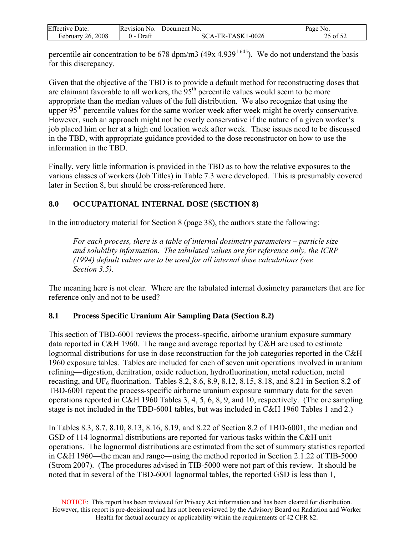<span id="page-25-0"></span>

| <b>Effective Date:</b> | Revision No.        | Document No.      | Page No. |
|------------------------|---------------------|-------------------|----------|
| 26, 2008<br>ebruary    | Draft<br><u>v -</u> | SCA-TR-TASK1-0026 | 25 of 52 |

percentile air concentration to be 678 dpm/m3 (49x 4.939<sup>1.645</sup>). We do not understand the basis for this discrepancy.

Given that the objective of the TBD is to provide a default method for reconstructing doses that are claimant favorable to all workers, the  $95<sup>th</sup>$  percentile values would seem to be more appropriate than the median values of the full distribution. We also recognize that using the upper  $95<sup>th</sup>$  percentile values for the same worker week after week might be overly conservative. However, such an approach might not be overly conservative if the nature of a given worker's job placed him or her at a high end location week after week. These issues need to be discussed in the TBD, with appropriate guidance provided to the dose reconstructor on how to use the information in the TBD.

Finally, very little information is provided in the TBD as to how the relative exposures to the various classes of workers (Job Titles) in Table 7.3 were developed. This is presumably covered later in Section 8, but should be cross-referenced here.

## **8.0 OCCUPATIONAL INTERNAL DOSE (SECTION 8)**

In the introductory material for Section 8 (page 38), the authors state the following:

*For each process, there is a table of internal dosimetry parameters – particle size and solubility information. The tabulated values are for reference only, the ICRP (1994) default values are to be used for all internal dose calculations (see Section 3.5).* 

The meaning here is not clear. Where are the tabulated internal dosimetry parameters that are for reference only and not to be used?

## **8.1 Process Specific Uranium Air Sampling Data (Section 8.2)**

This section of TBD-6001 reviews the process-specific, airborne uranium exposure summary data reported in C&H 1960. The range and average reported by C&H are used to estimate lognormal distributions for use in dose reconstruction for the job categories reported in the C&H 1960 exposure tables. Tables are included for each of seven unit operations involved in uranium refining—digestion, denitration, oxide reduction, hydrofluorination, metal reduction, metal recasting, and  $UF_6$  fluorination. Tables 8.2, 8.6, 8.9, 8.12, 8.15, 8.18, and 8.21 in Section 8.2 of TBD-6001 repeat the process-specific airborne uranium exposure summary data for the seven operations reported in C&H 1960 Tables 3, 4, 5, 6, 8, 9, and 10, respectively. (The ore sampling stage is not included in the TBD-6001 tables, but was included in C&H 1960 Tables 1 and 2.)

In Tables 8.3, 8.7, 8.10, 8.13, 8.16, 8.19, and 8.22 of Section 8.2 of TBD-6001, the median and GSD of 114 lognormal distributions are reported for various tasks within the C&H unit operations. The lognormal distributions are estimated from the set of summary statistics reported in C&H 1960—the mean and range—using the method reported in Section 2.1.22 of TIB-5000 (Strom 2007). (The procedures advised in TIB-5000 were not part of this review. It should be noted that in several of the TBD-6001 lognormal tables, the reported GSD is less than 1,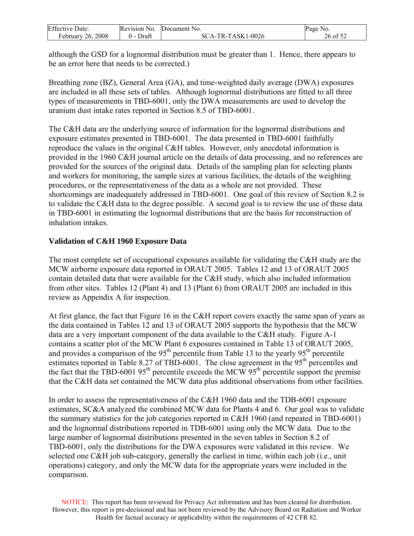| <b>Effective Date:</b> | Revision No. | Document No.      | Page No. |
|------------------------|--------------|-------------------|----------|
| 26, 2008<br>February   | Draft<br>0 – | SCA-TR-TASK1-0026 | 26 of 52 |

although the GSD for a lognormal distribution must be greater than 1. Hence, there appears to be an error here that needs to be corrected.)

Breathing zone (BZ), General Area (GA), and time-weighted daily average (DWA) exposures are included in all these sets of tables. Although lognormal distributions are fitted to all three types of measurements in TBD-6001, only the DWA measurements are used to develop the uranium dust intake rates reported in Section 8.5 of TBD-6001.

The C&H data are the underlying source of information for the lognormal distributions and exposure estimates presented in TBD-6001. The data presented in TBD-6001 faithfully reproduce the values in the original C&H tables. However, only anecdotal information is provided in the 1960 C&H journal article on the details of data processing, and no references are provided for the sources of the original data. Details of the sampling plan for selecting plants and workers for monitoring, the sample sizes at various facilities, the details of the weighting procedures, or the representativeness of the data as a whole are not provided. These shortcomings are inadequately addressed in TBD-6001. One goal of this review of Section 8.2 is to validate the C&H data to the degree possible. A second goal is to review the use of these data in TBD-6001 in estimating the lognormal distributions that are the basis for reconstruction of inhalation intakes.

## **Validation of C&H 1960 Exposure Data**

The most complete set of occupational exposures available for validating the C&H study are the MCW airborne exposure data reported in ORAUT 2005. Tables 12 and 13 of ORAUT 2005 contain detailed data that were available for the C&H study, which also included information from other sites. Tables 12 (Plant 4) and 13 (Plant 6) from ORAUT 2005 are included in this review as Appendix A for inspection.

At first glance, the fact that Figure 16 in the C&H report covers exactly the same span of years as the data contained in Tables 12 and 13 of ORAUT 2005 supports the hypothesis that the MCW data are a very important component of the data available to the C&H study. Figure A-1 contains a scatter plot of the MCW Plant 6 exposures contained in Table 13 of ORAUT 2005, and provides a comparison of the  $95<sup>th</sup>$  percentile from Table 13 to the yearly  $95<sup>th</sup>$  percentile estimates reported in Table 8.27 of TBD-6001. The close agreement in the  $95<sup>th</sup>$  percentiles and the fact that the TBD-6001 95<sup>th</sup> percentile exceeds the MCW 95<sup>th</sup> percentile support the premise that the C&H data set contained the MCW data plus additional observations from other facilities.

In order to assess the representativeness of the C&H 1960 data and the TDB-6001 exposure estimates, SC&A analyzed the combined MCW data for Plants 4 and 6. Our goal was to validate the summary statistics for the job categories reported in C&H 1960 (and repeated in TBD-6001) and the lognormal distributions reported in TDB-6001 using only the MCW data. Due to the large number of lognormal distributions presented in the seven tables in Section 8.2 of TBD-6001, only the distributions for the DWA exposures were validated in this review. We selected one C&H job sub-category, generally the earliest in time, within each job (i.e., unit operations) category, and only the MCW data for the appropriate years were included in the comparison.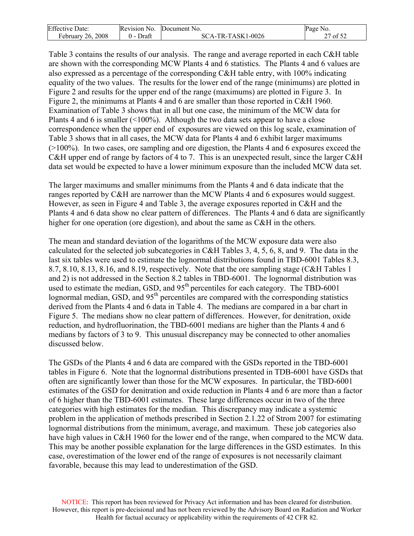| <b>Effective Date:</b> | Revision No. | Document No.      | Page No. |
|------------------------|--------------|-------------------|----------|
| February 26, 2008      | Draft        | SCA-TR-TASK1-0026 | of $52$  |

Table 3 contains the results of our analysis. The range and average reported in each C&H table are shown with the corresponding MCW Plants 4 and 6 statistics. The Plants 4 and 6 values are also expressed as a percentage of the corresponding C&H table entry, with 100% indicating equality of the two values. The results for the lower end of the range (minimums) are plotted in Figure 2 and results for the upper end of the range (maximums) are plotted in Figure 3. In Figure 2, the minimums at Plants 4 and 6 are smaller than those reported in C&H 1960. Examination of Table 3 shows that in all but one case, the minimum of the MCW data for Plants 4 and 6 is smaller (<100%). Although the two data sets appear to have a close correspondence when the upper end of exposures are viewed on this log scale, examination of Table 3 shows that in all cases, the MCW data for Plants 4 and 6 exhibit larger maximums (>100%). In two cases, ore sampling and ore digestion, the Plants 4 and 6 exposures exceed the C&H upper end of range by factors of 4 to 7. This is an unexpected result, since the larger C&H data set would be expected to have a lower minimum exposure than the included MCW data set.

The larger maximums and smaller minimums from the Plants 4 and 6 data indicate that the ranges reported by C&H are narrower than the MCW Plants 4 and 6 exposures would suggest. However, as seen in Figure 4 and Table 3, the average exposures reported in C&H and the Plants 4 and 6 data show no clear pattern of differences. The Plants 4 and 6 data are significantly higher for one operation (ore digestion), and about the same as C&H in the others.

The mean and standard deviation of the logarithms of the MCW exposure data were also calculated for the selected job subcategories in C&H Tables 3, 4, 5, 6, 8, and 9. The data in the last six tables were used to estimate the lognormal distributions found in TBD-6001 Tables 8.3, 8.7, 8.10, 8.13, 8.16, and 8.19, respectively. Note that the ore sampling stage (C&H Tables 1 and 2) is not addressed in the Section 8.2 tables in TBD-6001. The lognormal distribution was used to estimate the median, GSD, and 95<sup>th</sup> percentiles for each category. The TBD-6001 lognormal median, GSD, and  $95<sup>th</sup>$  percentiles are compared with the corresponding statistics derived from the Plants 4 and 6 data in Table 4. The medians are compared in a bar chart in Figure 5. The medians show no clear pattern of differences. However, for denitration, oxide reduction, and hydrofluorination, the TBD-6001 medians are higher than the Plants 4 and 6 medians by factors of 3 to 9. This unusual discrepancy may be connected to other anomalies discussed below.

The GSDs of the Plants 4 and 6 data are compared with the GSDs reported in the TBD-6001 tables in Figure 6. Note that the lognormal distributions presented in TDB-6001 have GSDs that often are significantly lower than those for the MCW exposures. In particular, the TBD-6001 estimates of the GSD for denitration and oxide reduction in Plants 4 and 6 are more than a factor of 6 higher than the TBD-6001 estimates. These large differences occur in two of the three categories with high estimates for the median. This discrepancy may indicate a systemic problem in the application of methods prescribed in Section 2.1.22 of Strom 2007 for estimating lognormal distributions from the minimum, average, and maximum. These job categories also have high values in C&H 1960 for the lower end of the range, when compared to the MCW data. This may be another possible explanation for the large differences in the GSD estimates. In this case, overestimation of the lower end of the range of exposures is not necessarily claimant favorable, because this may lead to underestimation of the GSD.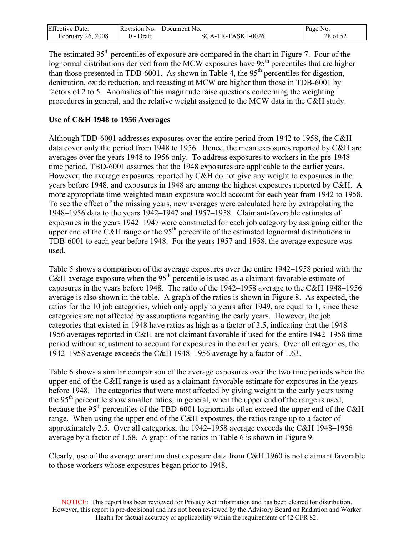| <b>Effective Date:</b> | Revision No. | Document No.      | Page No. |
|------------------------|--------------|-------------------|----------|
| February $26, 2008$    | Draft        | SCA-TR-TASK1-0026 | 28 of 52 |

The estimated 95<sup>th</sup> percentiles of exposure are compared in the chart in Figure 7. Four of the lognormal distributions derived from the MCW exposures have 95<sup>th</sup> percentiles that are higher than those presented in TDB-6001. As shown in Table 4, the  $95<sup>th</sup>$  percentiles for digestion, denitration, oxide reduction, and recasting at MCW are higher than those in TDB-6001 by factors of 2 to 5. Anomalies of this magnitude raise questions concerning the weighting procedures in general, and the relative weight assigned to the MCW data in the C&H study.

### **Use of C&H 1948 to 1956 Averages**

Although TBD-6001 addresses exposures over the entire period from 1942 to 1958, the C&H data cover only the period from 1948 to 1956. Hence, the mean exposures reported by C&H are averages over the years 1948 to 1956 only. To address exposures to workers in the pre-1948 time period, TBD-6001 assumes that the 1948 exposures are applicable to the earlier years. However, the average exposures reported by C&H do not give any weight to exposures in the years before 1948, and exposures in 1948 are among the highest exposures reported by C&H. A more appropriate time-weighted mean exposure would account for each year from 1942 to 1958. To see the effect of the missing years, new averages were calculated here by extrapolating the 1948–1956 data to the years 1942–1947 and 1957–1958. Claimant-favorable estimates of exposures in the years 1942–1947 were constructed for each job category by assigning either the upper end of the C&H range or the 95<sup>th</sup> percentile of the estimated lognormal distributions in TDB-6001 to each year before 1948. For the years 1957 and 1958, the average exposure was used.

Table 5 shows a comparison of the average exposures over the entire 1942–1958 period with the C&H average exposure when the 95<sup>th</sup> percentile is used as a claimant-favorable estimate of exposures in the years before 1948. The ratio of the 1942–1958 average to the C&H 1948–1956 average is also shown in the table. A graph of the ratios is shown in Figure 8. As expected, the ratios for the 10 job categories, which only apply to years after 1949, are equal to 1, since these categories are not affected by assumptions regarding the early years. However, the job categories that existed in 1948 have ratios as high as a factor of 3.5, indicating that the 1948– 1956 averages reported in C&H are not claimant favorable if used for the entire 1942–1958 time period without adjustment to account for exposures in the earlier years. Over all categories, the 1942–1958 average exceeds the C&H 1948–1956 average by a factor of 1.63.

Table 6 shows a similar comparison of the average exposures over the two time periods when the upper end of the C&H range is used as a claimant-favorable estimate for exposures in the years before 1948. The categories that were most affected by giving weight to the early years using the 95th percentile show smaller ratios, in general, when the upper end of the range is used, because the 95<sup>th</sup> percentiles of the TBD-6001 lognormals often exceed the upper end of the C&H range. When using the upper end of the C&H exposures, the ratios range up to a factor of approximately 2.5. Over all categories, the 1942–1958 average exceeds the C&H 1948–1956 average by a factor of 1.68. A graph of the ratios in Table 6 is shown in Figure 9.

Clearly, use of the average uranium dust exposure data from C&H 1960 is not claimant favorable to those workers whose exposures began prior to 1948.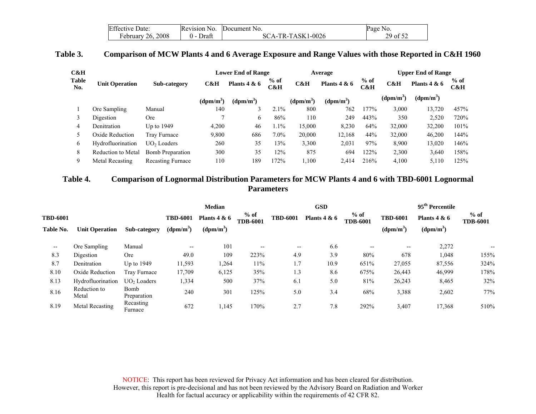| <b>Effective Date:</b> | Revision No.    | Document No.      | Page No.                   |
|------------------------|-----------------|-------------------|----------------------------|
| February $26, 2008$    | $(1 -$<br>Draft | SCA-TR-TASK1-0026 | 29 of 52<br>$\overline{ }$ |

### **Table 3. Comparison of MCW Plants 4 and 6 Average Exposure and Range Values with those Reported in C&H 1960**

| C&H                 |                       |                          | <b>Lower End of Range</b> |                |               | Average     |                |               | <b>Upper End of Range</b> |                       |               |
|---------------------|-----------------------|--------------------------|---------------------------|----------------|---------------|-------------|----------------|---------------|---------------------------|-----------------------|---------------|
| <b>Table</b><br>No. | <b>Unit Operation</b> | Sub-category             | C&H                       | Plants $4 & 6$ | $%$ of<br>C&H | C&H         | Plants $4 & 6$ | $%$ of<br>C&H | C&H                       | Plants $4 & 6$        | $%$ of<br>C&H |
|                     |                       |                          | $(dpm/m^3)$               | $(dpm/m^3)$    |               | $(dpm/m^3)$ | $(dpm/m^3)$    |               | $(dpm/m^3)$               | (dpm/m <sup>3</sup> ) |               |
|                     | Ore Sampling          | Manual                   | 140                       | 3              | 2.1%          | 800         | 762            | 177%          | 3,000                     | 13,720                | 457%          |
|                     | Digestion             | <b>Ore</b>               |                           | b              | 86%           | 110         | 249            | 443%          | 350                       | 2,520                 | 720%          |
| 4                   | Denitration           | Up to $1949$             | 4,200                     | 46             | 1.1%          | 15,000      | 8.230          | 64%           | 32,000                    | 32,200                | 101%          |
|                     | Oxide Reduction       | Tray Furnace             | 9,800                     | 686            | $7.0\%$       | 20,000      | 12,168         | 44%           | 32,000                    | 46,200                | 144%          |
| 6                   | Hydrofluorination     | $UO2$ Loaders            | 260                       | 35             | 13%           | 3,300       | 2,031          | 97%           | 8,900                     | 13,020                | 146%          |
| 8                   | Reduction to Metal    | Bomb Preparation         | 300                       | 35             | 12%           | 875         | 694            | 122%          | 2,300                     | 3,640                 | 158%          |
| 9                   | Metal Recasting       | <b>Recasting Furnace</b> | 110                       | 189            | 172%          | 1,100       | 2,414          | 216%          | 4,100                     | 5,110                 | 125%          |

### **Table 4. Comparison of Lognormal Distribution Parameters for MCW Plants 4 and 6 with TBD-6001 Lognormal Parameters**

<span id="page-29-0"></span>

|                 |                       |                         | <b>Median</b>         |                               |                           | <b>GSD</b>                        |                           |                 | 95 <sup>th</sup> Percentile |                           |      |
|-----------------|-----------------------|-------------------------|-----------------------|-------------------------------|---------------------------|-----------------------------------|---------------------------|-----------------|-----------------------------|---------------------------|------|
| <b>TBD-6001</b> |                       |                         | <b>TBD-6001</b>       | Plants $4 & 6$<br>$(dpm/m^3)$ | $%$ of<br><b>TDB-6001</b> | <b>TBD-6001</b><br>Plants $4 & 6$ | $%$ of<br><b>TDB-6001</b> | <b>TBD-6001</b> | Plants $4 & 6$              | $%$ of<br><b>TDB-6001</b> |      |
| Table No.       | <b>Unit Operation</b> | Sub-category            | (dpm/m <sup>3</sup> ) |                               |                           |                                   |                           |                 | $(dpm/m^3)$                 | $(dpm/m^3)$               |      |
| --              | Ore Sampling          | Manual                  | $- -$                 | 101                           | $\overline{\phantom{m}}$  | $\hspace{0.05cm} \ldots$          | 6.6                       | $- -$           | $\overline{\phantom{m}}$    | 2,272                     | --   |
| 8.3             | Digestion             | Ore                     | 49.0                  | 109                           | 223%                      | 4.9                               | 3.9                       | 80%             | 678                         | 1,048                     | 155% |
| 8.7             | Denitration           | Up to 1949              | 11,593                | 1,264                         | 11%                       | 1.7                               | 10.9                      | 651%            | 27,055                      | 87,556                    | 324% |
| 8.10            | Oxide Reduction       | Tray Furnace            | 17,709                | 6,125                         | 35%                       | 1.3                               | 8.6                       | 675%            | 26,443                      | 46,999                    | 178% |
| 8.13            | Hydrofluorination     | UO <sub>2</sub> Loaders | 1,334                 | 500                           | 37%                       | 6.1                               | 5.0                       | 81%             | 26,243                      | 8,465                     | 32%  |
| 8.16            | Reduction to<br>Metal | Bomb<br>Preparation     | 240                   | 301                           | 125%                      | 5.0                               | 3.4                       | 68%             | 3,388                       | 2,602                     | 77%  |
| 8.19            | Metal Recasting       | Recasting<br>Furnace    | 672                   | 1,145                         | 170%                      | 2.7                               | 7.8                       | 292%            | 3,407                       | 17,368                    | 510% |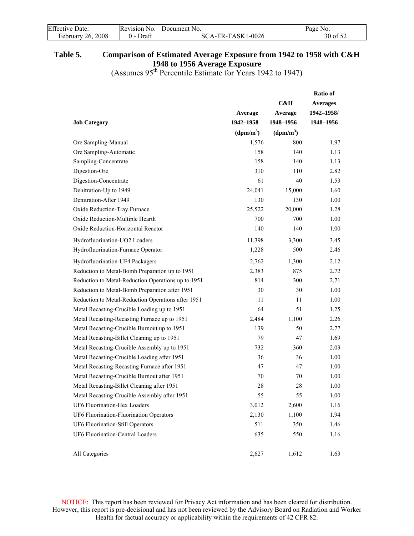<span id="page-30-0"></span>

| <b>Effective Date:</b> | Revision No.     | Document No.      | Page No. |
|------------------------|------------------|-------------------|----------|
| February 26, 2008      | Draft<br>$($ ) – | SCA-TR-TASK1-0026 | 30 of 52 |

## **Table 5. Comparison of Estimated Average Exposure from 1942 to 1958 with C&H 1948 to 1956 Average Exposure**

(Assumes  $95<sup>th</sup>$  Percentile Estimate for Years 1942 to 1947)

|                                                    |                       |                       | <b>Ratio of</b> |
|----------------------------------------------------|-----------------------|-----------------------|-----------------|
|                                                    |                       | C&H                   | <b>Averages</b> |
|                                                    | Average               | Average               | 1942-1958/      |
| <b>Job Category</b>                                | 1942-1958             | 1948-1956             | 1948-1956       |
|                                                    | (dpm/m <sup>3</sup> ) | (dpm/m <sup>3</sup> ) |                 |
| Ore Sampling-Manual                                | 1,576                 | 800                   | 1.97            |
| Ore Sampling-Automatic                             | 158                   | 140                   | 1.13            |
| Sampling-Concentrate                               | 158                   | 140                   | 1.13            |
| Digestion-Ore                                      | 310                   | 110                   | 2.82            |
| Digestion-Concentrate                              | 61                    | 40                    | 1.53            |
| Denitration-Up to 1949                             | 24,041                | 15,000                | 1.60            |
| Denitration-After 1949                             | 130                   | 130                   | 1.00            |
| Oxide Reduction-Tray Furnace                       | 25,522                | 20,000                | 1.28            |
| Oxide Reduction-Multiple Hearth                    | 700                   | 700                   | 1.00            |
| Oxide Reduction-Horizontal Reactor                 | 140                   | 140                   | 1.00            |
| Hydrofluorination-UO2 Loaders                      | 11,398                | 3,300                 | 3.45            |
| Hydrofluorination-Furnace Operator                 | 1,228                 | 500                   | 2.46            |
| Hydrofluorination-UF4 Packagers                    | 2,762                 | 1,300                 | 2.12            |
| Reduction to Metal-Bomb Preparation up to 1951     | 2,383                 | 875                   | 2.72            |
| Reduction to Metal-Reduction Operations up to 1951 | 814                   | 300                   | 2.71            |
| Reduction to Metal-Bomb Preparation after 1951     | 30                    | 30                    | 1.00            |
| Reduction to Metal-Reduction Operations after 1951 | 11                    | 11                    | 1.00            |
| Metal Recasting-Crucible Loading up to 1951        | 64                    | 51                    | 1.25            |
| Metal Recasting-Recasting Furnace up to 1951       | 2,484                 | 1,100                 | 2.26            |
| Metal Recasting-Crucible Burnout up to 1951        | 139                   | 50                    | 2.77            |
| Metal Recasting-Billet Cleaning up to 1951         | 79                    | 47                    | 1.69            |
| Metal Recasting-Crucible Assembly up to 1951       | 732                   | 360                   | 2.03            |
| Metal Recasting-Crucible Loading after 1951        | 36                    | 36                    | 1.00            |
| Metal Recasting-Recasting Furnace after 1951       | 47                    | 47                    | 1.00            |
| Metal Recasting-Crucible Burnout after 1951        | 70                    | 70                    | 1.00            |
| Metal Recasting-Billet Cleaning after 1951         | 28                    | 28                    | 1.00            |
| Metal Recasting-Crucible Assembly after 1951       | 55                    | 55                    | 1.00            |
| UF6 Fluorination-Hex Loaders                       | 3,012                 | 2,600                 | 1.16            |
| UF6 Fluorination-Fluorination Operators            | 2,130                 | 1,100                 | 1.94            |
| UF6 Fluorination-Still Operators                   | 511                   | 350                   | 1.46            |
| UF6 Fluorination-Central Loaders                   | 635                   | 550                   | 1.16            |
| All Categories                                     | 2,627                 | 1,612                 | 1.63            |
|                                                    |                       |                       |                 |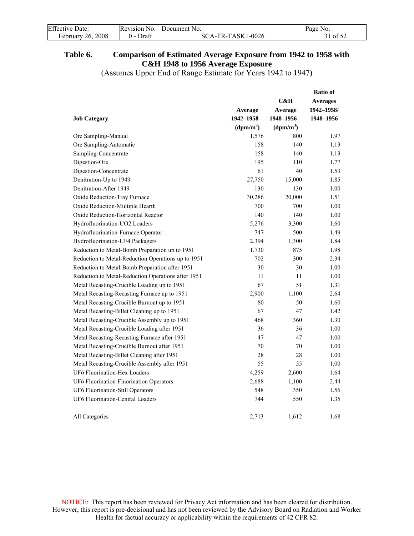<span id="page-31-0"></span>

| <b>Effective Date:</b> | Revision No. | Document No.      | Page No. |
|------------------------|--------------|-------------------|----------|
| February 26, 2008      | Draft        | SCA-TR-TASK1-0026 | 31 of 52 |

## **Table 6. Comparison of Estimated Average Exposure from 1942 to 1958 with C&H 1948 to 1956 Average Exposure**

(Assumes Upper End of Range Estimate for Years 1942 to 1947)

|                                                    |                       |                       | <b>Ratio of</b> |
|----------------------------------------------------|-----------------------|-----------------------|-----------------|
|                                                    |                       | C&H                   | <b>Averages</b> |
|                                                    | Average               | Average               | 1942-1958/      |
| <b>Job Category</b>                                | 1942-1958             | 1948-1956             | 1948-1956       |
|                                                    | (dpm/m <sup>3</sup> ) | (dpm/m <sup>3</sup> ) |                 |
| Ore Sampling-Manual                                | 1,576                 | 800                   | 1.97            |
| Ore Sampling-Automatic                             | 158                   | 140                   | 1.13            |
| Sampling-Concentrate                               | 158                   | 140                   | 1.13            |
| Digestion-Ore                                      | 195                   | 110                   | 1.77            |
| Digestion-Concentrate                              | 61                    | 40                    | 1.53            |
| Denitration-Up to 1949                             | 27,750                | 15,000                | 1.85            |
| Denitration-After 1949                             | 130                   | 130                   | 1.00            |
| Oxide Reduction-Tray Furnace                       | 30,286                | 20,000                | 1.51            |
| Oxide Reduction-Multiple Hearth                    | 700                   | 700                   | 1.00            |
| Oxide Reduction-Horizontal Reactor                 | 140                   | 140                   | 1.00            |
| Hydrofluorination-UO2 Loaders                      | 5,276                 | 3,300                 | 1.60            |
| Hydrofluorination-Furnace Operator                 | 747                   | 500                   | 1.49            |
| Hydrofluorination-UF4 Packagers                    | 2,394                 | 1,300                 | 1.84            |
| Reduction to Metal-Bomb Preparation up to 1951     | 1,730                 | 875                   | 1.98            |
| Reduction to Metal-Reduction Operations up to 1951 | 702                   | 300                   | 2.34            |
| Reduction to Metal-Bomb Preparation after 1951     | 30                    | 30                    | 1.00            |
| Reduction to Metal-Reduction Operations after 1951 | 11                    | 11                    | 1.00            |
| Metal Recasting-Crucible Loading up to 1951        | 67                    | 51                    | 1.31            |
| Metal Recasting-Recasting Furnace up to 1951       | 2,900                 | 1,100                 | 2.64            |
| Metal Recasting-Crucible Burnout up to 1951        | 80                    | 50                    | 1.60            |
| Metal Recasting-Billet Cleaning up to 1951         | 67                    | 47                    | 1.42            |
| Metal Recasting-Crucible Assembly up to 1951       | 468                   | 360                   | 1.30            |
| Metal Recasting-Crucible Loading after 1951        | 36                    | 36                    | 1.00            |
| Metal Recasting-Recasting Furnace after 1951       | 47                    | 47                    | 1.00            |
| Metal Recasting-Crucible Burnout after 1951        | 70                    | 70                    | 1.00            |
| Metal Recasting-Billet Cleaning after 1951         | 28                    | 28                    | 1.00            |
| Metal Recasting-Crucible Assembly after 1951       | 55                    | 55                    | 1.00            |
| UF6 Fluorination-Hex Loaders                       | 4,259                 | 2,600                 | 1.64            |
| UF6 Fluorination-Fluorination Operators            | 2,688                 | 1,100                 | 2.44            |
| UF6 Fluorination-Still Operators                   | 548                   | 350                   | 1.56            |
| UF6 Fluorination-Central Loaders                   | 744                   | 550                   | 1.35            |
| All Categories                                     | 2,713                 | 1,612                 | 1.68            |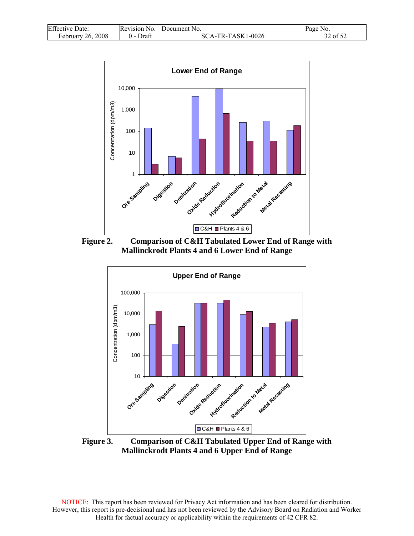<span id="page-32-0"></span>

| <b>Effective Date:</b> | Revision No. | Document No.      | Page No. |
|------------------------|--------------|-------------------|----------|
| February 26, 2008      | Draft        | SCA-TR-TASK1-0026 | 32 of 52 |



**Figure 2. Comparison of C&H Tabulated Lower End of Range with Mallinckrodt Plants 4 and 6 Lower End of Range** 



**Figure 3. Comparison of C&H Tabulated Upper End of Range with Mallinckrodt Plants 4 and 6 Upper End of Range**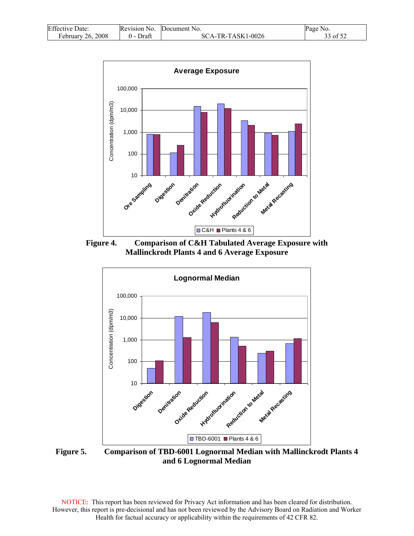<span id="page-33-0"></span>

| <b>Effective Date:</b>        | Revision No. | Document No.        | Page No. |
|-------------------------------|--------------|---------------------|----------|
| 2008<br>February 26, $\angle$ | Draft        | $SCA-TR-TASK1-0026$ | 33 of 52 |



**Figure 4. Comparison of C&H Tabulated Average Exposure with Mallinckrodt Plants 4 and 6 Average Exposure** 



**Figure 5. Comparison of TBD-6001 Lognormal Median with Mallinckrodt Plants 4 and 6 Lognormal Median**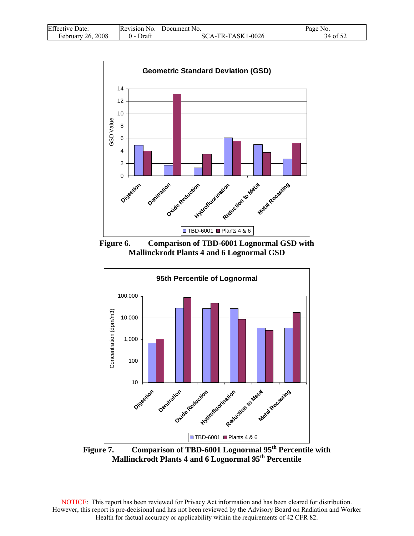<span id="page-34-0"></span>

| <b>Effective Date:</b> | Revision No. | Document No.      | Page No. |
|------------------------|--------------|-------------------|----------|
| February 26, 2008      | Draft        | SCA-TR-TASK1-0026 | 34 of 52 |



**Figure 6. Comparison of TBD-6001 Lognormal GSD with Mallinckrodt Plants 4 and 6 Lognormal GSD** 



Figure 7. Comparison of TBD-6001 Lognormal 95<sup>th</sup> Percentile with **Mallinckrodt Plants 4 and 6 Lognormal 95th Percentile**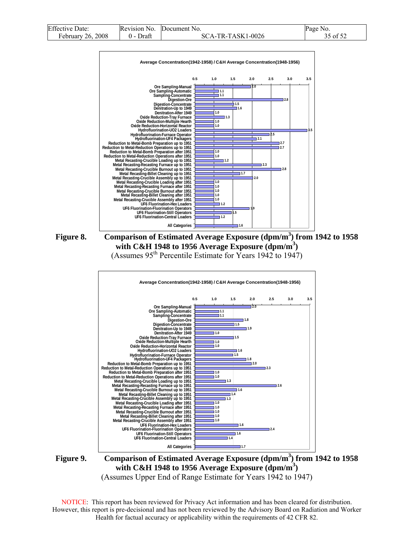<span id="page-35-0"></span>

| <b>Effective Date:</b> | Revision No. | Document No.      | Page No. |
|------------------------|--------------|-------------------|----------|
| February 26, 2008      | Draft        | SCA-TR-TASK1-0026 | 35 of 52 |









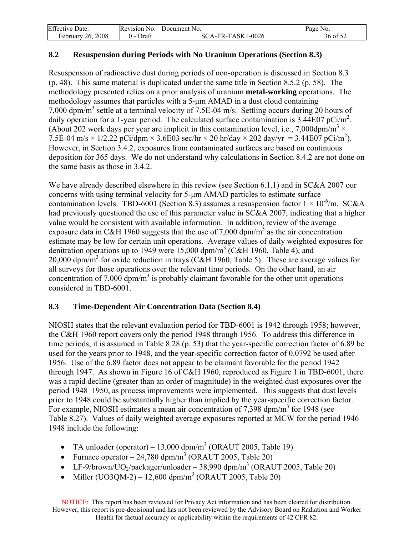<span id="page-36-0"></span>

| <b>Effective Date:</b> | Revision No. | Document No.      | Page No. |
|------------------------|--------------|-------------------|----------|
| February 26, 2008      | Draft        | SCA-TR-TASK1-0026 | 36 of 52 |

## **8.2 Resuspension during Periods with No Uranium Operations (Section 8.3)**

Resuspension of radioactive dust during periods of non-operation is discussed in Section 8.3 (p. 48). This same material is duplicated under the same title in Section 8.5.2 (p. 58). The methodology presented relies on a prior analysis of uranium **metal-working** operations. The methodology assumes that particles with a 5-μm AMAD in a dust cloud containing 7,000 dpm/m<sup>3</sup> settle at a terminal velocity of 7.5E-04 m/s. Settling occurs during 20 hours of daily operation for a 1-year period. The calculated surface contamination is  $3.44E07$  pCi/m<sup>2</sup>. (About 202 work days per year are implicit in this contamination level, i.e., 7,000dpm/m<sup>3</sup>  $\times$ 7.5E-04 m/s  $\times$  1/2.22 pCi/dpm  $\times$  3.6E03 sec/hr  $\times$  20 hr/day  $\times$  202 day/yr = 3.44E07 pCi/m<sup>2</sup>). However, in Section 3.4.2, exposures from contaminated surfaces are based on continuous deposition for 365 days. We do not understand why calculations in Section 8.4.2 are not done on the same basis as those in 3.4.2.

We have already described elsewhere in this review (see Section 6.1.1) and in SC&A 2007 our concerns with using terminal velocity for 5-μm AMAD particles to estimate surface contamination levels. TBD-6001 (Section 8.3) assumes a resuspension factor  $1 \times 10^{-6}$ /m. SC&A had previously questioned the use of this parameter value in SC&A 2007, indicating that a higher value would be consistent with available information. In addition, review of the average exposure data in C&H 1960 suggests that the use of 7,000 dpm/m<sup>3</sup> as the air concentration estimate may be low for certain unit operations. Average values of daily weighted exposures for denitration operations up to 1949 were 15,000 dpm/m<sup>3</sup> (C&H 1960, Table 4), and 20,000 dpm/m<sup>3</sup> for oxide reduction in trays (C&H 1960, Table 5). These are average values for all surveys for those operations over the relevant time periods. On the other hand, an air concentration of 7,000 dpm/m<sup>3</sup> is probably claimant favorable for the other unit operations considered in TBD-6001.

## **8.3 Time-Dependent Air Concentration Data (Section 8.4)**

NIOSH states that the relevant evaluation period for TBD-6001 is 1942 through 1958; however, the C&H 1960 report covers only the period 1948 through 1956. To address this difference in time periods, it is assumed in Table 8.28 (p. 53) that the year-specific correction factor of 6.89 be used for the years prior to 1948, and the year-specific correction factor of 0.0792 be used after 1956. Use of the 6.89 factor does not appear to be claimant favorable for the period 1942 through 1947. As shown in Figure 16 of C&H 1960, reproduced as Figure 1 in TBD-6001, there was a rapid decline (greater than an order of magnitude) in the weighted dust exposures over the period 1948–1950, as process improvements were implemented. This suggests that dust levels prior to 1948 could be substantially higher than implied by the year-specific correction factor. For example, NIOSH estimates a mean air concentration of  $7,398$  dpm/m<sup>3</sup> for 1948 (see Table 8.27). Values of daily weighted average exposures reported at MCW for the period 1946– 1948 include the following:

- TA unloader (operator) 13,000 dpm/m<sup>3</sup> (ORAUT 2005, Table 19)
- Furnace operator  $-24,780 \text{ dpm/m}^3$  (ORAUT 2005, Table 20)
- LF-9/brown/UO<sub>2</sub>/packager/unloader 38,990 dpm/m<sup>3</sup> (ORAUT 2005, Table 20)
- Miller (UO3QM-2) 12,600 dpm/m<sup>3</sup> (ORAUT 2005, Table 20)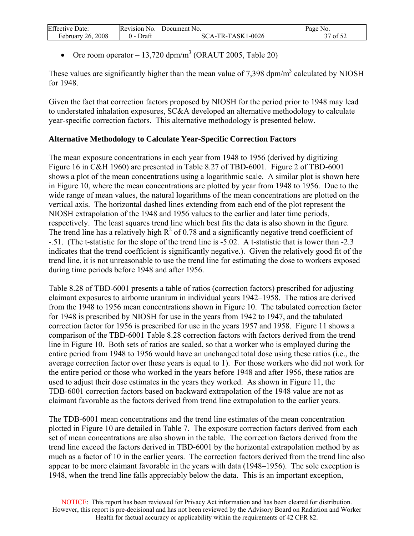| <b>Effective Date:</b> | Revision No. | Document No.      | Page No. |
|------------------------|--------------|-------------------|----------|
| February 26, 2008      | Draft        | SCA-TR-TASK1-0026 | of $52$  |

• Ore room operator  $-13,720$  dpm/m<sup>3</sup> (ORAUT 2005, Table 20)

These values are significantly higher than the mean value of 7,398  $dpm/m<sup>3</sup>$  calculated by NIOSH for 1948.

Given the fact that correction factors proposed by NIOSH for the period prior to 1948 may lead to understated inhalation exposures, SC&A developed an alternative methodology to calculate year-specific correction factors. This alternative methodology is presented below.

## **Alternative Methodology to Calculate Year-Specific Correction Factors**

The mean exposure concentrations in each year from 1948 to 1956 (derived by digitizing Figure 16 in C&H 1960) are presented in Table 8.27 of TBD-6001. Figure 2 of TBD-6001 shows a plot of the mean concentrations using a logarithmic scale. A similar plot is shown here in Figure 10, where the mean concentrations are plotted by year from 1948 to 1956. Due to the wide range of mean values, the natural logarithms of the mean concentrations are plotted on the vertical axis. The horizontal dashed lines extending from each end of the plot represent the NIOSH extrapolation of the 1948 and 1956 values to the earlier and later time periods, respectively. The least squares trend line which best fits the data is also shown in the figure. The trend line has a relatively high  $R^2$  of 0.78 and a significantly negative trend coefficient of -.51. (The t-statistic for the slope of the trend line is -5.02. A t-statistic that is lower than -2.3 indicates that the trend coefficient is significantly negative.). Given the relatively good fit of the trend line, it is not unreasonable to use the trend line for estimating the dose to workers exposed during time periods before 1948 and after 1956.

Table 8.28 of TBD-6001 presents a table of ratios (correction factors) prescribed for adjusting claimant exposures to airborne uranium in individual years 1942–1958. The ratios are derived from the 1948 to 1956 mean concentrations shown in Figure 10. The tabulated correction factor for 1948 is prescribed by NIOSH for use in the years from 1942 to 1947, and the tabulated correction factor for 1956 is prescribed for use in the years 1957 and 1958. Figure 11 shows a comparison of the TBD-6001 Table 8.28 correction factors with factors derived from the trend line in Figure 10. Both sets of ratios are scaled, so that a worker who is employed during the entire period from 1948 to 1956 would have an unchanged total dose using these ratios (i.e., the average correction factor over these years is equal to 1). For those workers who did not work for the entire period or those who worked in the years before 1948 and after 1956, these ratios are used to adjust their dose estimates in the years they worked. As shown in Figure 11, the TDB-6001 correction factors based on backward extrapolation of the 1948 value are not as claimant favorable as the factors derived from trend line extrapolation to the earlier years.

The TDB-6001 mean concentrations and the trend line estimates of the mean concentration plotted in Figure 10 are detailed in Table 7. The exposure correction factors derived from each set of mean concentrations are also shown in the table. The correction factors derived from the trend line exceed the factors derived in TBD-6001 by the horizontal extrapolation method by as much as a factor of 10 in the earlier years. The correction factors derived from the trend line also appear to be more claimant favorable in the years with data (1948–1956). The sole exception is 1948, when the trend line falls appreciably below the data. This is an important exception,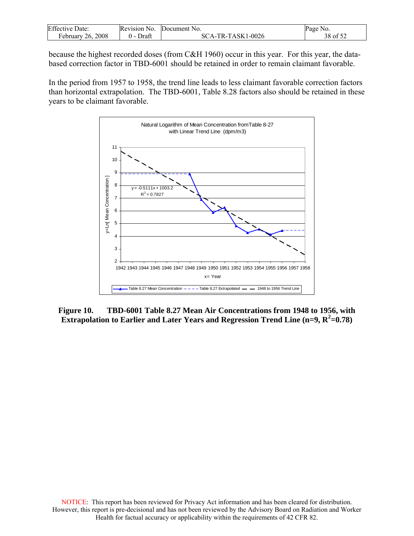<span id="page-38-0"></span>

| Effective<br>Date:      | Revision No. | Document No.                | Page<br>No.                          |
|-------------------------|--------------|-----------------------------|--------------------------------------|
| 2008<br>26.<br>Februarv | Draft        | TR-TASK1-0026<br>$\Delta$ - | $\sim$ $\sim$ $\sim$<br>38 o<br>- OT |

because the highest recorded doses (from C&H 1960) occur in this year. For this year, the databased correction factor in TBD-6001 should be retained in order to remain claimant favorable.

In the period from 1957 to 1958, the trend line leads to less claimant favorable correction factors than horizontal extrapolation. The TBD-6001, Table 8.28 factors also should be retained in these years to be claimant favorable.



**Figure 10. TBD-6001 Table 8.27 Mean Air Concentrations from 1948 to 1956, with Extrapolation to Earlier and Later Years and Regression Trend Line (n=9, R<sup>2</sup>=0.78)**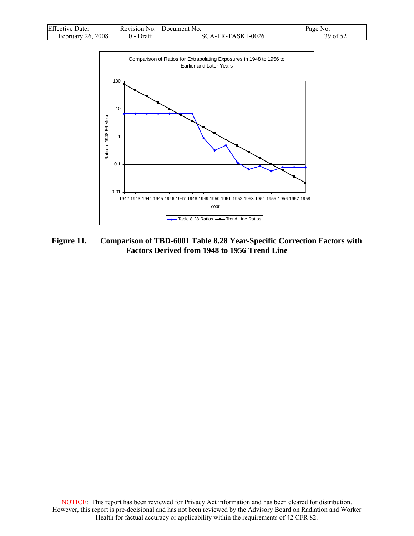<span id="page-39-0"></span>

| <b>Effective Date:</b> | Revision No. | Document No.      | Page No. |
|------------------------|--------------|-------------------|----------|
| February 26, 2008      | 0 - Draft    | SCA-TR-TASK1-0026 | 39 of 52 |



**Figure 11. Comparison of TBD-6001 Table 8.28 Year-Specific Correction Factors with Factors Derived from 1948 to 1956 Trend Line**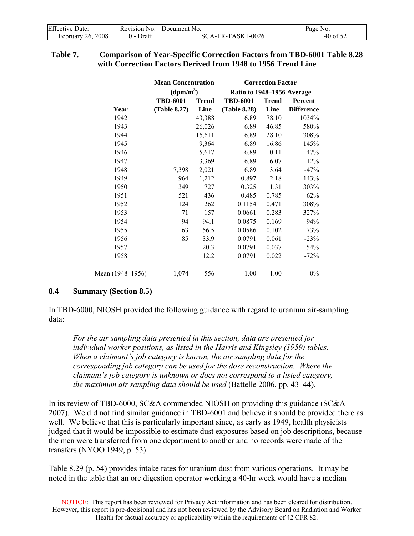<span id="page-40-0"></span>

| <b>Effective Date:</b> | Revision No.  | Document No.      | Page No. |
|------------------------|---------------|-------------------|----------|
| February 26, 2008      | Draft<br>() – | SCA-TR-TASK1-0026 | 40 of 52 |

### **Table 7. Comparison of Year-Specific Correction Factors from TBD-6001 Table 8.28 with Correction Factors Derived from 1948 to 1956 Trend Line**

|                  | <b>Mean Concentration</b> |              | <b>Correction Factor</b>   |              |                   |  |  |  |
|------------------|---------------------------|--------------|----------------------------|--------------|-------------------|--|--|--|
|                  | (dpm/m <sup>3</sup> )     |              | Ratio to 1948-1956 Average |              |                   |  |  |  |
|                  | <b>TBD-6001</b>           | <b>Trend</b> | <b>TBD-6001</b>            | <b>Trend</b> | Percent           |  |  |  |
| Year             | (Table 8.27)              | Line         | (Table 8.28)               | Line         | <b>Difference</b> |  |  |  |
| 1942             |                           | 43,388       | 6.89                       | 78.10        | 1034%             |  |  |  |
| 1943             |                           | 26,026       | 6.89                       | 46.85        | 580%              |  |  |  |
| 1944             |                           | 15,611       | 6.89                       | 28.10        | 308%              |  |  |  |
| 1945             |                           | 9,364        | 6.89                       | 16.86        | 145%              |  |  |  |
| 1946             |                           | 5,617        | 6.89                       | 10.11        | 47%               |  |  |  |
| 1947             |                           | 3,369        | 6.89                       | 6.07         | $-12%$            |  |  |  |
| 1948             | 7,398                     | 2,021        | 6.89                       | 3.64         | $-47%$            |  |  |  |
| 1949             | 964                       | 1,212        | 0.897                      | 2.18         | 143%              |  |  |  |
| 1950             | 349                       | 727          | 0.325                      | 1.31         | 303%              |  |  |  |
| 1951             | 521                       | 436          | 0.485                      | 0.785        | 62%               |  |  |  |
| 1952             | 124                       | 262          | 0.1154                     | 0.471        | 308%              |  |  |  |
| 1953             | 71                        | 157          | 0.0661                     | 0.283        | 327%              |  |  |  |
| 1954             | 94                        | 94.1         | 0.0875                     | 0.169        | 94%               |  |  |  |
| 1955             | 63                        | 56.5         | 0.0586                     | 0.102        | 73%               |  |  |  |
| 1956             | 85                        | 33.9         | 0.0791                     | 0.061        | $-23%$            |  |  |  |
| 1957             |                           | 20.3         | 0.0791                     | 0.037        | $-54%$            |  |  |  |
| 1958             |                           | 12.2         | 0.0791                     | 0.022        | $-72%$            |  |  |  |
| Mean (1948–1956) | 1,074                     | 556          | 1.00                       | 1.00         | $0\%$             |  |  |  |

### **8.4 Summary (Section 8.5)**

In TBD-6000, NIOSH provided the following guidance with regard to uranium air-sampling data:

*For the air sampling data presented in this section, data are presented for individual worker positions, as listed in the Harris and Kingsley (1959) tables. When a claimant's job category is known, the air sampling data for the corresponding job category can be used for the dose reconstruction. Where the claimant's job category is unknown or does not correspond to a listed category, the maximum air sampling data should be used* (Battelle 2006, pp. 43–44).

In its review of TBD-6000, SC&A commended NIOSH on providing this guidance (SC&A 2007). We did not find similar guidance in TBD-6001 and believe it should be provided there as well. We believe that this is particularly important since, as early as 1949, health physicists judged that it would be impossible to estimate dust exposures based on job descriptions, because the men were transferred from one department to another and no records were made of the transfers (NYOO 1949, p. 53).

Table 8.29 (p. 54) provides intake rates for uranium dust from various operations. It may be noted in the table that an ore digestion operator working a 40-hr week would have a median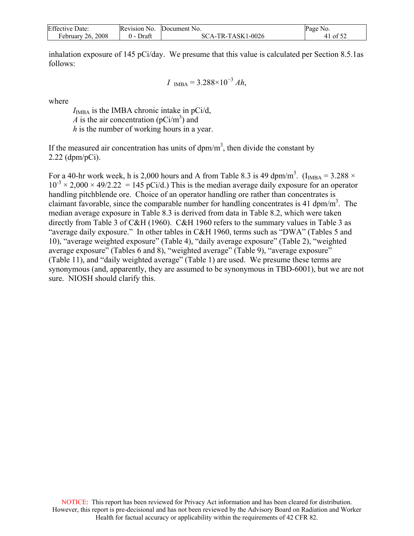| <b>Effective Date:</b> | Revision No.  | Document No.      | Page No. |
|------------------------|---------------|-------------------|----------|
| February 26, 2008      | Draft<br>() – | SCA-TR-TASK1-0026 | 41 of 52 |

inhalation exposure of 145 pCi/day. We presume that this value is calculated per Section 8.5.1as follows:

$$
I_{IMBA} = 3.288 \times 10^{-3} Ah,
$$

where

 $I_{\text{IMBA}}$  is the IMBA chronic intake in pCi/d, *A* is the air concentration ( $pCi/m^3$ ) and *h* is the number of working hours in a year.

If the measured air concentration has units of  $dpm/m<sup>3</sup>$ , then divide the constant by 2.22 (dpm/pCi).

For a 40-hr work week, h is 2,000 hours and A from Table 8.3 is 49 dpm/m<sup>3</sup>. (I<sub>IMBA</sub> = 3.288  $\times$  $10^{-3} \times 2,000 \times 49/2.22 = 145 \text{ pCi/d}$ .) This is the median average daily exposure for an operator handling pitchblende ore. Choice of an operator handling ore rather than concentrates is claimant favorable, since the comparable number for handling concentrates is 41 dpm/m<sup>3</sup>. The median average exposure in Table 8.3 is derived from data in Table 8.2, which were taken directly from Table 3 of C&H (1960). C&H 1960 refers to the summary values in Table 3 as "average daily exposure." In other tables in C&H 1960, terms such as "DWA" (Tables 5 and 10), "average weighted exposure" (Table 4), "daily average exposure" (Table 2), "weighted average exposure" (Tables 6 and 8), "weighted average" (Table 9), "average exposure" (Table 11), and "daily weighted average" (Table 1) are used. We presume these terms are synonymous (and, apparently, they are assumed to be synonymous in TBD-6001), but we are not sure. NIOSH should clarify this.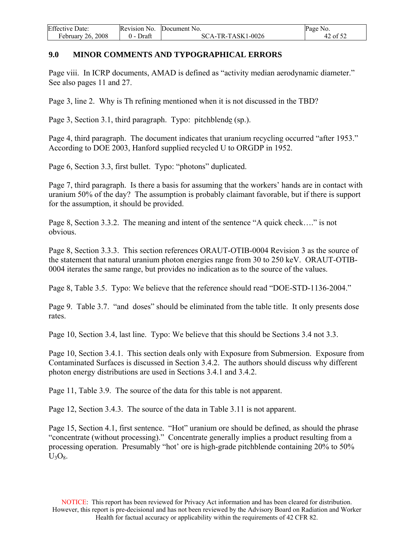<span id="page-42-0"></span>

| <b>Effective Date:</b> | Revision No. | Document No.      | Page No.           |
|------------------------|--------------|-------------------|--------------------|
| February 26, 2008      | Draft        | SCA-TR-TASK1-0026 | $\sim$ 01 5 $\sim$ |

### **9.0 MINOR COMMENTS AND TYPOGRAPHICAL ERRORS**

Page viii. In ICRP documents, AMAD is defined as "activity median aerodynamic diameter." See also pages 11 and 27.

Page 3, line 2. Why is Th refining mentioned when it is not discussed in the TBD?

Page 3, Section 3.1, third paragraph. Typo: pitchblende (sp.).

Page 4, third paragraph. The document indicates that uranium recycling occurred "after 1953." According to DOE 2003, Hanford supplied recycled U to ORGDP in 1952.

Page 6, Section 3.3, first bullet. Typo: "photons" duplicated.

Page 7, third paragraph. Is there a basis for assuming that the workers' hands are in contact with uranium 50% of the day? The assumption is probably claimant favorable, but if there is support for the assumption, it should be provided.

Page 8, Section 3.3.2. The meaning and intent of the sentence "A quick check…." is not obvious.

Page 8, Section 3.3.3. This section references ORAUT-OTIB-0004 Revision 3 as the source of the statement that natural uranium photon energies range from 30 to 250 keV. ORAUT-OTIB-0004 iterates the same range, but provides no indication as to the source of the values.

Page 8, Table 3.5. Typo: We believe that the reference should read "DOE-STD-1136-2004."

Page 9. Table 3.7. "and doses" should be eliminated from the table title. It only presents dose rates.

Page 10, Section 3.4, last line. Typo: We believe that this should be Sections 3.4 not 3.3.

Page 10, Section 3.4.1. This section deals only with Exposure from Submersion. Exposure from Contaminated Surfaces is discussed in Section 3.4.2. The authors should discuss why different photon energy distributions are used in Sections 3.4.1 and 3.4.2.

Page 11, Table 3.9. The source of the data for this table is not apparent.

Page 12, Section 3.4.3. The source of the data in Table 3.11 is not apparent.

Page 15, Section 4.1, first sentence. "Hot" uranium ore should be defined, as should the phrase "concentrate (without processing)." Concentrate generally implies a product resulting from a processing operation. Presumably "hot' ore is high-grade pitchblende containing 20% to 50%  $U_3O_8$ .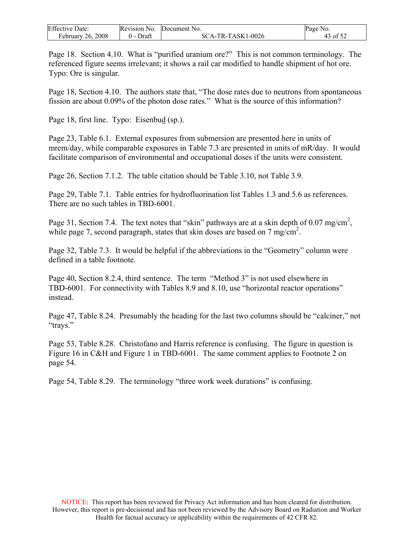| <b>Effective Date:</b> | Revision No.     | Document No.      | Page No.             |
|------------------------|------------------|-------------------|----------------------|
| 26.2008<br>February    | Draft<br>$($ ) – | SCA-TR-TASK1-0026 | $43.0$ f $5^{\circ}$ |

Page 18. Section 4.10. What is "purified uranium ore?" This is not common terminology. The referenced figure seems irrelevant; it shows a rail car modified to handle shipment of hot ore. Typo: Ore is singular.

Page 18, Section 4.10. The authors state that, "The dose rates due to neutrons from spontaneous fission are about 0.09% of the photon dose rates." What is the source of this information?

Page 18, first line. Typo: Eisenbud (sp.).

Page 23, Table 6.1. External exposures from submersion are presented here in units of mrem/day, while comparable exposures in Table 7.3 are presented in units of mR/day. It would facilitate comparison of environmental and occupational doses if the units were consistent.

Page 26, Section 7.1.2. The table citation should be Table 3.10, not Table 3.9.

Page 29, Table 7.1. Table entries for hydrofluorination list Tables 1.3 and 5.6 as references. There are no such tables in TBD-6001.

Page 31, Section 7.4. The text notes that "skin" pathways are at a skin depth of 0.07 mg/cm<sup>2</sup>, while page 7, second paragraph, states that skin doses are based on 7 mg/ $\text{cm}^2$ .

Page 32, Table 7.3. It would be helpful if the abbreviations in the "Geometry" column were defined in a table footnote.

Page 40, Section 8.2.4, third sentence. The term "Method 3" is not used elsewhere in TBD-6001. For connectivity with Tables 8.9 and 8.10, use "horizontal reactor operations" instead.

Page 47, Table 8.24. Presumably the heading for the last two columns should be "calciner," not "trays."

Page 53, Table 8.28. Christofano and Harris reference is confusing. The figure in question is Figure 16 in C&H and Figure 1 in TBD-6001. The same comment applies to Footnote 2 on page 54.

Page 54, Table 8.29. The terminology "three work week durations" is confusing.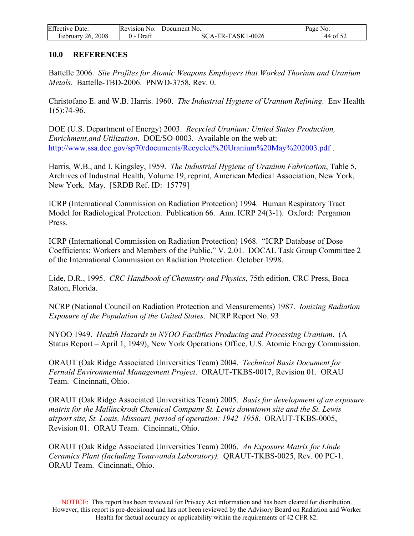<span id="page-44-0"></span>

| <b>Effective Date:</b> |           | Revision No. Document No. | Page No. |
|------------------------|-----------|---------------------------|----------|
| February 26, 2008      | 0 - Draft | SCA-TR-TASK1-0026         | 44 of 52 |

#### **10.0 REFERENCES**

Battelle 2006. *Site Profiles for Atomic Weapons Employers that Worked Thorium and Uranium Metals*. Battelle-TBD-2006. PNWD-3758, Rev. 0.

Christofano E. and W.B. Harris. 1960. *The Industrial Hygiene of Uranium Refining*. Env Health 1(5):74-96.

DOE (U.S. Department of Energy) 2003. *Recycled Uranium: United States Production, Enrichment,and Utilization*. DOE/SO-0003. Available on the web at: http://www.ssa.doe.gov/sp70/documents/Recycled%20Uranium%20May%202003.pdf.

Harris, W.B., and I. Kingsley, 1959. *The Industrial Hygiene of Uranium Fabrication*, Table 5, Archives of Industrial Health, Volume 19, reprint, American Medical Association, New York, New York. May. [SRDB Ref. ID: 15779]

ICRP (International Commission on Radiation Protection) 1994. Human Respiratory Tract Model for Radiological Protection. Publication 66. Ann. ICRP 24(3-1). Oxford: Pergamon Press.

ICRP (International Commission on Radiation Protection) 1968. "ICRP Database of Dose Coefficients: Workers and Members of the Public." V. 2.01. DOCAL Task Group Committee 2 of the International Commission on Radiation Protection. October 1998.

Lide, D.R., 1995. *CRC Handbook of Chemistry and Physics*, 75th edition. CRC Press, Boca Raton, Florida.

NCRP (National Council on Radiation Protection and Measurements) 1987. *Ionizing Radiation Exposure of the Population of the United States*. NCRP Report No. 93.

NYOO 1949. *Health Hazards in NYOO Facilities Producing and Processing Uranium*. (A Status Report – April 1, 1949), New York Operations Office, U.S. Atomic Energy Commission.

ORAUT (Oak Ridge Associated Universities Team) 2004. *Technical Basis Document for Fernald Environmental Management Project*. ORAUT-TKBS-0017, Revision 01. ORAU Team. Cincinnati, Ohio.

ORAUT (Oak Ridge Associated Universities Team) 2005. *Basis for development of an exposure matrix for the Mallinckrodt Chemical Company St. Lewis downtown site and the St. Lewis airport site, St. Louis, Missouri, period of operation: 1942–1958*. ORAUT-TKBS-0005, Revision 01. ORAU Team. Cincinnati, Ohio.

ORAUT (Oak Ridge Associated Universities Team) 2006. *An Exposure Matrix for Linde Ceramics Plant (Including Tonawanda Laboratory).* QRAUT-TKBS-0025, Rev. 00 PC-1. ORAU Team. Cincinnati, Ohio.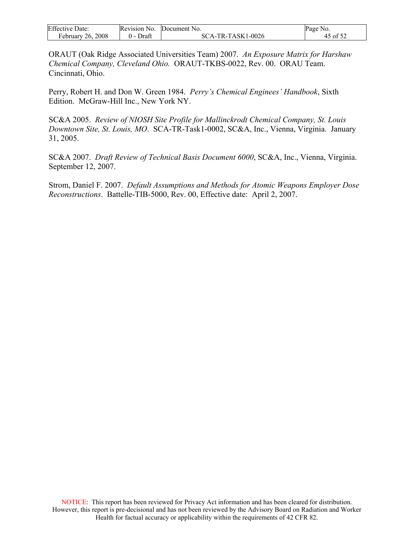| <b>Effective Date:</b> | Revision No.    | Document No.      | Page No.          |
|------------------------|-----------------|-------------------|-------------------|
| February $26, 2008$    | Draft<br>$(1 -$ | SCA-TR-TASK1-0026 | $45$ of $5^\circ$ |

ORAUT (Oak Ridge Associated Universities Team) 2007. *An Exposure Matrix for Harshaw Chemical Company, Cleveland Ohio.* ORAUT-TKBS-0022, Rev. 00. ORAU Team. Cincinnati, Ohio.

Perry, Robert H. and Don W. Green 1984. *Perry's Chemical Enginees' Handbook*, Sixth Edition. McGraw-Hill Inc., New York NY.

SC&A 2005. *Review of NIOSH Site Profile for Mallinckrodt Chemical Company, St. Louis Downtown Site, St. Louis, MO*. SCA-TR-Task1-0002, SC&A, Inc., Vienna, Virginia. January 31, 2005.

SC&A 2007. *Draft Review of Technical Basis Document 6000*, SC&A, Inc., Vienna, Virginia. September 12, 2007.

Strom, Daniel F. 2007. *Default Assumptions and Methods for Atomic Weapons Employer Dose Reconstructions*. Battelle-TIB-5000, Rev. 00, Effective date: April 2, 2007.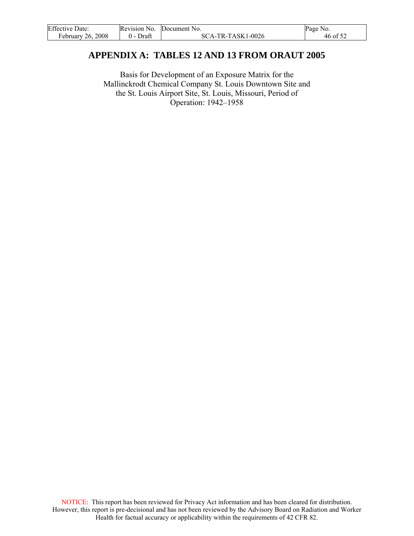<span id="page-46-0"></span>

| <b>Effective Date:</b> | Revision No. | Document No.      | Page No. |
|------------------------|--------------|-------------------|----------|
| February 26, 2008      | Draft        | SCA-TR-TASK1-0026 | 46 of 52 |

# **APPENDIX A: TABLES 12 AND 13 FROM ORAUT 2005**

Basis for Development of an Exposure Matrix for the Mallinckrodt Chemical Company St. Louis Downtown Site and the St. Louis Airport Site, St. Louis, Missouri, Period of Operation: 1942–1958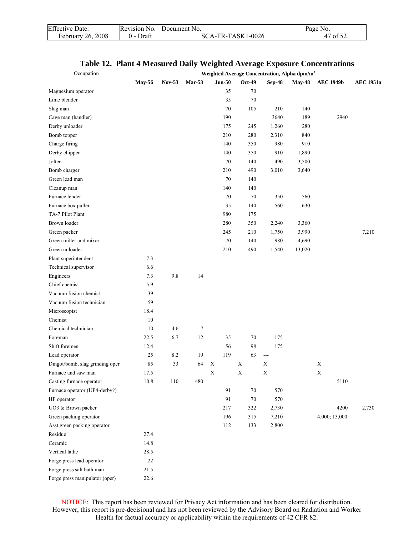| <b>Effective Date:</b> | Revision No. | Document No.      | Page No. |
|------------------------|--------------|-------------------|----------|
| February 26, 2008      | Draft        | SCA-TR-TASK1-0026 | 47 of 52 |

| Occupation                      |               |         |        |             |          |   |        | Weighted Average Concentration, Alpha dpm/m <sup>3</sup> |               |                  |               |                  |
|---------------------------------|---------------|---------|--------|-------------|----------|---|--------|----------------------------------------------------------|---------------|------------------|---------------|------------------|
|                                 | <b>May-56</b> | Nov-53  | Mar-53 |             | $Jun-50$ |   | Oct-49 | <b>Sep-48</b>                                            | <b>May-48</b> | <b>AEC 1949b</b> |               | <b>AEC 1951a</b> |
| Magnesium operator              |               |         |        |             | 35       |   | 70     |                                                          |               |                  |               |                  |
| Lime blender                    |               |         |        |             | 35       |   | 70     |                                                          |               |                  |               |                  |
| Slag man                        |               |         |        |             | 70       |   | 105    | 210                                                      | 140           |                  |               |                  |
| Cage man (handler)              |               |         |        |             | 190      |   |        | 3640                                                     | 189           |                  | 2940          |                  |
| Derby unloader                  |               |         |        |             | 175      |   | 245    | 1,260                                                    | 280           |                  |               |                  |
| Bomb topper                     |               |         |        |             | 210      |   | 280    | 2,310                                                    | 840           |                  |               |                  |
| Charge firing                   |               |         |        |             | 140      |   | 350    | 980                                                      | 910           |                  |               |                  |
| Derby chipper                   |               |         |        |             | 140      |   | 350    | 910                                                      | 1,890         |                  |               |                  |
| Jolter                          |               |         |        |             | 70       |   | 140    | 490                                                      | 3,500         |                  |               |                  |
| Bomb charger                    |               |         |        |             | 210      |   | 490    | 3,010                                                    | 3,640         |                  |               |                  |
| Green lead man                  |               |         |        |             | 70       |   | 140    |                                                          |               |                  |               |                  |
| Cleanup man                     |               |         |        |             | 140      |   | 140    |                                                          |               |                  |               |                  |
| Furnace tender                  |               |         |        |             | 70       |   | 70     | 350                                                      | 560           |                  |               |                  |
| Furnace box puller              |               |         |        |             | 35       |   | 140    | 560                                                      | 630           |                  |               |                  |
| TA-7 Pilot Plant                |               |         |        |             | 980      |   | 175    |                                                          |               |                  |               |                  |
| Brown loader                    |               |         |        |             | 280      |   | 350    | 2,240                                                    | 3,360         |                  |               |                  |
| Green packer                    |               |         |        |             | 245      |   | 210    | 1,750                                                    | 3,990         |                  |               | 7,210            |
| Green miller and mixer          |               |         |        |             | 70       |   | 140    | 980                                                      | 4,690         |                  |               |                  |
| Green unloader                  |               |         |        |             | 210      |   | 490    | 1,540                                                    | 13,020        |                  |               |                  |
| Plant superintendent            | 7.3           |         |        |             |          |   |        |                                                          |               |                  |               |                  |
| Technical supervisor            | 6.6           |         |        |             |          |   |        |                                                          |               |                  |               |                  |
| Engineers                       | 7.3           | 9.8     | 14     |             |          |   |        |                                                          |               |                  |               |                  |
| Chief chemist                   | 5.9           |         |        |             |          |   |        |                                                          |               |                  |               |                  |
| Vacuum fusion chemist           | 39            |         |        |             |          |   |        |                                                          |               |                  |               |                  |
| Vacuum fusion technician        | 59            |         |        |             |          |   |        |                                                          |               |                  |               |                  |
| Microscopist                    | 18.4          |         |        |             |          |   |        |                                                          |               |                  |               |                  |
| Chemist                         | 10            |         |        |             |          |   |        |                                                          |               |                  |               |                  |
| Chemical technician             | 10            | 4.6     | $\tau$ |             |          |   |        |                                                          |               |                  |               |                  |
| Foreman                         | 22.5          | 6.7     | 12     |             | 35       |   | 70     | 175                                                      |               |                  |               |                  |
| Shift foremen                   | 12.4          |         |        |             | 56       |   | 98     | 175                                                      |               |                  |               |                  |
| Lead operator                   | 25            | 8.2     | 19     |             | 119      |   | 63     | $\qquad \qquad - -$                                      |               |                  |               |                  |
| Dingot/bomb, slag grinding oper | 85            | 33      | 64     | $\mathbf X$ |          | X |        | X                                                        |               | X                |               |                  |
| Furnace and saw man             | 17.5          |         |        | X           |          | X |        | Χ                                                        |               | $\mathbf X$      |               |                  |
| Casting furnace operator        | 10.8          | $110\,$ | 480    |             |          |   |        |                                                          |               |                  | 5110          |                  |
| Furnace operator (UF4-derby?)   |               |         |        |             | 91       |   | $70\,$ | 570                                                      |               |                  |               |                  |
| HF operator                     |               |         |        |             | 91       |   | $70\,$ | 570                                                      |               |                  |               |                  |
| UO3 & Brown packer              |               |         |        |             | 217      |   | 322    | 2,730                                                    |               |                  | 4200          | 2,730            |
| Green packing operator          |               |         |        |             | 196      |   | 315    | 7,210                                                    |               |                  | 4,000; 13,000 |                  |
| Asst green packing operator     |               |         |        |             | 112      |   | 133    | 2,800                                                    |               |                  |               |                  |
| Residue                         | 27.4          |         |        |             |          |   |        |                                                          |               |                  |               |                  |
| Ceramic                         | 14.8          |         |        |             |          |   |        |                                                          |               |                  |               |                  |
| Vertical lathe                  | 28.5          |         |        |             |          |   |        |                                                          |               |                  |               |                  |
| Forge press lead operator       | $22\,$        |         |        |             |          |   |        |                                                          |               |                  |               |                  |
| Forge press salt bath man       | 21.5          |         |        |             |          |   |        |                                                          |               |                  |               |                  |
| Forge press manipulator (oper)  | 22.6          |         |        |             |          |   |        |                                                          |               |                  |               |                  |

## **Table 12. Plant 4 Measured Daily Weighted Average Exposure Concentrations**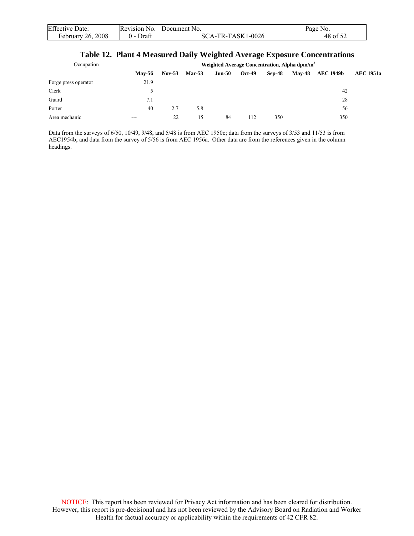| <b>Effective Date:</b> | Revision No.     | Document No.      | Page No. |
|------------------------|------------------|-------------------|----------|
| February 26, 2008      | Draft<br>$($ ) – | SCA-TR-TASK1-0026 | 48 of 52 |

### **Table 12. Plant 4 Measured Daily Weighted Average Exposure Concentrations**

| Occupation           |               | Weighted Average Concentration, Alpha dpm/m <sup>3</sup> |               |        |               |        |               |                  |                  |  |  |
|----------------------|---------------|----------------------------------------------------------|---------------|--------|---------------|--------|---------------|------------------|------------------|--|--|
|                      | <b>Mav-56</b> | $Nov-53$                                                 | <b>Mar-53</b> | Jun-50 | <b>Oct-49</b> | Sep-48 | <b>May-48</b> | <b>AEC 1949b</b> | <b>AEC 1951a</b> |  |  |
| Forge press operator | 21.9          |                                                          |               |        |               |        |               |                  |                  |  |  |
| Clerk                |               |                                                          |               |        |               |        |               | 42               |                  |  |  |
| Guard                | 7.1           |                                                          |               |        |               |        |               | 28               |                  |  |  |
| Porter               | 40            | 2.7                                                      | 5.8           |        |               |        |               | 56               |                  |  |  |
| Area mechanic        | ---           | 22                                                       | 15.           | 84     | 112           | 350    |               | 350              |                  |  |  |

Data from the surveys of 6/50, 10/49, 9/48, and 5/48 is from AEC 1950c; data from the surveys of 3/53 and 11/53 is from AEC1954b; and data from the survey of 5/56 is from AEC 1956a. Other data are from the references given in the column headings.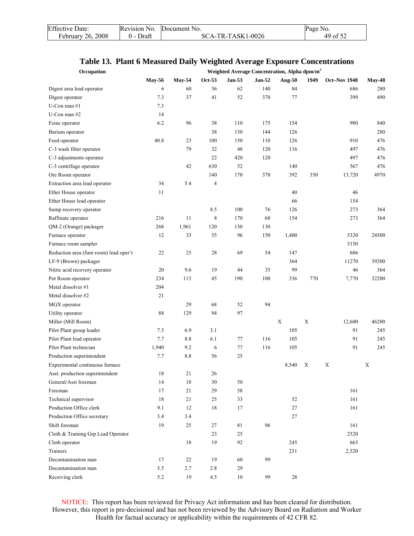| <b>Effective Date:</b>   | Revision No.  | Document No.      | Page No. |
|--------------------------|---------------|-------------------|----------|
| <b>February 26, 2008</b> | Draft<br>() – | SCA-TR-TASK1-0026 | 49 of 52 |

## **Table 13. Plant 6 Measured Daily Weighted Average Exposure Concentrations**

| Occupation                              |               |               |                |               |          | Weighted Average Concentration, Alpha dpm/m <sup>3</sup> |             |              |               |
|-----------------------------------------|---------------|---------------|----------------|---------------|----------|----------------------------------------------------------|-------------|--------------|---------------|
|                                         | <b>May-56</b> | <b>May-54</b> | Oct-53         | <b>Jan-53</b> | $Jan-52$ | <b>Aug-50</b>                                            | 1949        | Oct-Nov 1948 | <b>May-48</b> |
| Digest area lead operator               | 6             | 60            | 36             | 62            | 140      | 84                                                       |             | 686          | 280           |
| Digest operator                         | 7.3           | 37            | 41             | 52            | 370      | 77                                                       |             | 399          | 490           |
| U-Con man $#1$                          | 7.3           |               |                |               |          |                                                          |             |              |               |
| U-Con man $#2$                          | 14            |               |                |               |          |                                                          |             |              |               |
| Feinc operator                          | 6.2           | 96            | 38             | 110           | 175      | 154                                                      |             | 980          | 840           |
| Barium operator                         |               |               | 38             | 130           | 144      | 126                                                      |             |              | 280           |
| Feed operator                           | 40.8          | 23            | 100            | 150           | 110      | 126                                                      |             | 910          | 476           |
| C-3 wash filter operator                |               | 79            | 32             | 48            | 120      | 116                                                      |             | 497          | 476           |
| C-3 adjustments operator                |               |               | 22             | 420           | 120      |                                                          |             | 497          | 476           |
| C-3 centrifuge operator                 |               | 42            | 630            | 52            |          | 140                                                      |             | 567          | 476           |
| Ore Room operator                       |               |               | 140            | 170           | 370      | 392                                                      | 350         | 13,720       | 4970          |
| Extraction area lead operator           | 34            | 5.4           | $\overline{4}$ |               |          |                                                          |             |              |               |
| Ether House operator                    | 11            |               |                |               |          | 40                                                       |             | 46           |               |
| Ether House lead operator               |               |               |                |               |          | 66                                                       |             | 154          |               |
| Sump recovery operator                  |               |               | 8.5            | 100           | 76       | 126                                                      |             | 273          | 364           |
| Raffinate operator                      | 216           | 11            | 8              | 170           | 68       | 154                                                      |             | 273          | 364           |
| QM-2 (Orange) packager                  | 268           | 1,961         | 120            | 130           | 130      |                                                          |             |              |               |
| Furnace operator                        | 12            | 33            | 55             | 96            | 150      | 1,400                                                    |             | 5320         | 24500         |
| Furnace room sampler                    |               |               |                |               |          |                                                          |             | 3150         |               |
| Reduction area (furn room) lead oper'r  | 22            | 25            | 28             | 69            | 54       | 147                                                      |             | 686          |               |
| LF-9 (Brown) packager                   |               |               |                |               |          | 364                                                      |             | 11270        | 39200         |
| Nitric acid recovery operator           | 20            | 9.6           | 19             | 44            | 35       | 99                                                       |             | 46           | 364           |
|                                         | 234           | 113           | 45             | 190           | 100      | 336                                                      | 770         |              | 32200         |
| Pot Room operator<br>Metal dissolver #1 | 204           |               |                |               |          |                                                          |             | 7,770        |               |
|                                         |               |               |                |               |          |                                                          |             |              |               |
| Metal dissolver #2                      | 21            |               |                |               |          |                                                          |             |              |               |
| MGX operator                            |               | 29            | 68             | 52            | 94       |                                                          |             |              |               |
| Utility operator                        | $\bf 88$      | 129           | 94             | 97            |          |                                                          |             |              |               |
| Miller (Mill Room)                      |               |               |                |               |          | $\mathbf X$                                              | $\mathbf X$ | 12,600       | 46200         |
| Pilot Plant group leader                | 7.5           | 6.9           | 3.1            |               |          | 105                                                      |             | 91           | 245           |
| Pilot Plant lead operator               | 7.7           | 8.8           | 6.1            | 77            | 116      | 105                                                      |             | 91           | 245           |
| Pilot Plant technician                  | 1,940         | 9.2           | 6              | 77            | 116      | 105                                                      |             | 91           | 245           |
| Production superintendent               | 7.7           | 8.8           | 56             | 25            |          |                                                          |             |              |               |
| Experimental continuous furnace         |               |               |                |               |          | 8,540                                                    | X           | X            | X             |
| Asst. production superintendent         | $1\,8$        | 21            | 26             |               |          |                                                          |             |              |               |
| General/Asst foreman                    | 14            | 18            | 30             | 50            |          |                                                          |             |              |               |
| Foreman                                 | 17            | 21            | 29             | 58            |          |                                                          |             | 161          |               |
| Technical supervisor                    | 18            | 21            | 25             | 33            |          | 52                                                       |             | 161          |               |
| Production Office clerk                 | 9.1           | 12            | 18             | 17            |          | 27                                                       |             | 161          |               |
| Production Office secretary             | 3.4           | 3.4           |                |               |          | $27\,$                                                   |             |              |               |
| Shift foreman                           | 19            | 25            | 27             | 81            | 96       |                                                          |             | 161          |               |
| Cloth & Training Grp Lead Operator      |               |               | 23             | 25            |          |                                                          |             | 2520         |               |
| Cloth operator                          |               | 18            | 19             | 92            |          | 245                                                      |             | 665          |               |
| Trainers                                |               |               |                |               |          | 231                                                      |             | 2,520        |               |
| Decontamination man                     | 17            | 22            | 19             | 60            | 99       |                                                          |             |              |               |
| Decontamination man                     | 3.5           | 2.7           | 2.8            | 29            |          |                                                          |             |              |               |
| Receiving clerk                         | 5.2           | 19            | 4.5            | $10\,$        | 99       | 28                                                       |             |              |               |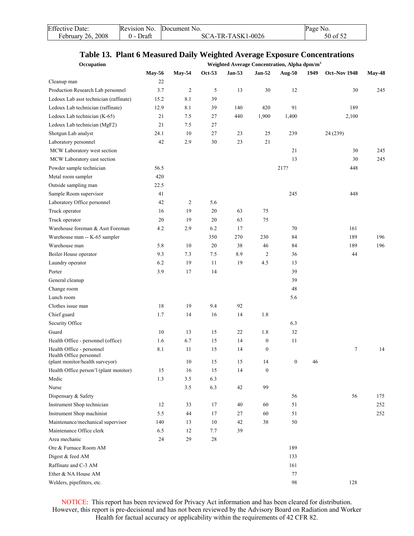| <b>Effective Date:</b> | Revision No. | Document No.      | Page No. |
|------------------------|--------------|-------------------|----------|
| February 26, 2008      | 0 - Draft    | SCA-TR-TASK1-0026 | 50 of 52 |

## **Table 13. Plant 6 Measured Daily Weighted Average Exposure Concentrations**

| Occupation                             |               |                |        |               |                  | Weighted Average Concentration, Alpha dpm/m <sup>3</sup> |      |              |               |
|----------------------------------------|---------------|----------------|--------|---------------|------------------|----------------------------------------------------------|------|--------------|---------------|
|                                        | <b>May-56</b> | <b>May-54</b>  | Oct-53 | <b>Jan-53</b> | <b>Jan-52</b>    | <b>Aug-50</b>                                            | 1949 | Oct-Nov 1948 | <b>May-48</b> |
| Cleanup man                            | 22            |                |        |               |                  |                                                          |      |              |               |
| Production Research Lab personnel      | 3.7           | $\overline{c}$ | 5      | 13            | 30               | 12                                                       |      | 30           | 245           |
| Ledoux Lab asst technician (raffinate) | 15.2          | 8.1            | 39     |               |                  |                                                          |      |              |               |
| Ledoux Lab technician (raffinate)      | 12.9          | 8.1            | 39     | 140           | 420              | 91                                                       |      | 189          |               |
| Ledoux Lab technician (K-65)           | 21            | 7.5            | 27     | 440           | 1,900            | 1,400                                                    |      | 2,100        |               |
| Ledoux Lab technician (MgF2)           | 21            | 7.5            | 27     |               |                  |                                                          |      |              |               |
| Shotgun Lab analyst                    | 24.1          | 10             | 27     | 23            | 25               | 239                                                      |      | 24 (239)     |               |
| Laboratory personnel                   | 42            | 2.9            | 30     | 23            | 21               |                                                          |      |              |               |
| MCW Laboratory west section            |               |                |        |               |                  | 21                                                       |      | 30           | 245           |
| MCW Laboratory east section            |               |                |        |               |                  | 13                                                       |      | 30           | 245           |
| Powder sample technician               | 56.5          |                |        |               |                  | 217?                                                     |      | 448          |               |
| Metal room sampler                     | 420           |                |        |               |                  |                                                          |      |              |               |
| Outside sampling man                   | 22.5          |                |        |               |                  |                                                          |      |              |               |
| Sample Room supervisor                 | 41            |                |        |               |                  | 245                                                      |      | 448          |               |
| Laboratory Office personnel            | 42            | $\overline{2}$ | 5.6    |               |                  |                                                          |      |              |               |
| Truck operator                         | 16            | 19             | 20     | 63            | 75               |                                                          |      |              |               |
| Truck operator                         | 20            | 19             | 20     | 63            | 75               |                                                          |      |              |               |
| Warehouse foreman & Asst Foreman       | 4.2           | 2.9            | 6.2    | 17            |                  | 70                                                       |      | 161          |               |
| Warehouse man -- K-65 sampler          |               |                | 350    | 270           | 230              | 84                                                       |      | 189          | 196           |
| Warehouse man                          | 5.8           | 10             | 20     | 38            | 46               | 84                                                       |      | 189          | 196           |
| Boiler House operator                  | 9.3           | 7.3            | 7.5    | 8.9           | $\overline{c}$   | 36                                                       |      | 44           |               |
| Laundry operator                       | 6.2           | 19             | 11     | 19            | 4.5              | 13                                                       |      |              |               |
| Porter                                 | 3.9           | 17             | 14     |               |                  | 39                                                       |      |              |               |
| General cleanup                        |               |                |        |               |                  | 39                                                       |      |              |               |
| Change room                            |               |                |        |               |                  | 48                                                       |      |              |               |
| Lunch room                             |               |                |        |               |                  | 5.6                                                      |      |              |               |
| Clothes issue man                      | 18            | 19             | 9.4    | 92            |                  |                                                          |      |              |               |
| Chief guard                            | 1.7           | 14             | 16     | 14            | 1.8              |                                                          |      |              |               |
| Security Office                        |               |                |        |               |                  | 6.3                                                      |      |              |               |
| Guard                                  | 10            | 13             | 15     | 22            | 1.8              | 32                                                       |      |              |               |
| Health Office - personnel (office)     | 1.6           | 6.7            | 15     | 14            | $\boldsymbol{0}$ | 11                                                       |      |              |               |
| Health Office - personnel              | 8.1           | 11             | 15     | 14            | $\boldsymbol{0}$ |                                                          |      | $\tau$       | 14            |
| Health Office personnel                |               |                |        |               |                  |                                                          |      |              |               |
| (plant monitor/health surveyor)        |               | 10             | 15     | 15            | 14               | $\boldsymbol{0}$                                         | 46   |              |               |
| Health Office person'l (plant monitor) | 15            | 16             | $15\,$ | 14            | $\boldsymbol{0}$ |                                                          |      |              |               |
| Medic                                  | 1.3           | 3.5            | 6.3    |               |                  |                                                          |      |              |               |
| Nurse                                  |               | 3.5            | 6.3    | 42            | 99               |                                                          |      |              |               |
| Dispensary & Safety                    |               |                |        |               |                  | 56                                                       |      | 56           | 175           |
| Instrument Shop technician             | 12            | 33             | 17     | 40            | 60               | 51                                                       |      |              | 252           |
| Instrument Shop machinist              | 5.5           | 44             | 17     | 27            | 60               | 51                                                       |      |              | 252           |
| Maintenance/mechanical supervisor      | 140           | 13             | 10     | 42            | 38               | $50\,$                                                   |      |              |               |
| Maintenance Office clerk               | 6.5           | 12             | 7.7    | 39            |                  |                                                          |      |              |               |
| Area mechanic                          | 24            | 29             | 28     |               |                  |                                                          |      |              |               |
| Ore & Furnace Room AM                  |               |                |        |               |                  | 189                                                      |      |              |               |
| Digest & feed AM                       |               |                |        |               |                  | 133                                                      |      |              |               |
| Raffinate and C-3 AM                   |               |                |        |               |                  | 161                                                      |      |              |               |
| Ether & NA House AM                    |               |                |        |               |                  | 77                                                       |      |              |               |
| Welders, pipefitters, etc.             |               |                |        |               |                  | 98                                                       |      | 128          |               |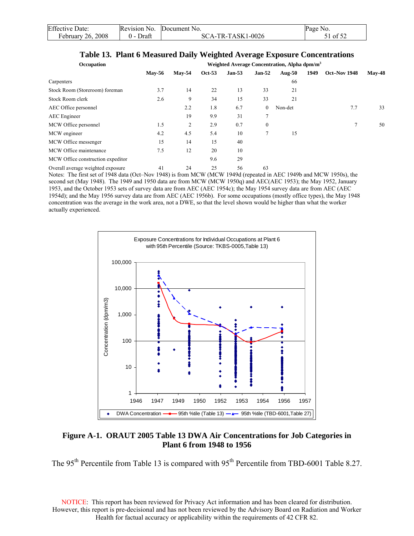| <b>Effective Date:</b> | Revision No.  | Document No.        | Page No. |
|------------------------|---------------|---------------------|----------|
| February 26, 2008      | Draft<br>() – | $SCA-TR-TASK1-0026$ | 1 of 52  |

#### **Table 13. Plant 6 Measured Daily Weighted Average Exposure Concentrations**

| Occupation                        |               |          |        |               |                  | Weighted Average Concentration, Alpha dpm/m <sup>3</sup> |      |              |          |
|-----------------------------------|---------------|----------|--------|---------------|------------------|----------------------------------------------------------|------|--------------|----------|
|                                   | <b>May-56</b> | $Mav-54$ | Oct-53 | <b>Jan-53</b> | <b>Jan-52</b>    | Aug- $50$                                                | 1949 | Oct-Nov 1948 | $Mav-48$ |
| Carpenters                        |               |          |        |               |                  | 66                                                       |      |              |          |
| Stock Room (Storeroom) foreman    | 3.7           | 14       | 22     | 13            | 33               | 21                                                       |      |              |          |
| Stock Room clerk                  | 2.6           | 9        | 34     | 15            | 33               | 21                                                       |      |              |          |
| AEC Office personnel              |               | 2.2      | 1.8    | 6.7           | $\mathbf{0}$     | Non-det                                                  |      | 7.7          | 33       |
| <b>AEC</b> Engineer               |               | 19       | 9.9    | 31            | $\mathcal{I}$    |                                                          |      |              |          |
| MCW Office personnel              | 1.5           | 2        | 2.9    | 0.7           | $\boldsymbol{0}$ |                                                          |      | 7            | 50       |
| MCW engineer                      | 4.2           | 4.5      | 5.4    | 10            | $\mathcal{I}$    | 15                                                       |      |              |          |
| MCW Office messenger              | 15            | 14       | 15     | 40            |                  |                                                          |      |              |          |
| MCW Office maintenance            | 7.5           | 12       | 20     | 10            |                  |                                                          |      |              |          |
| MCW Office construction expeditor |               |          | 9.6    | 29            |                  |                                                          |      |              |          |
| Overall average weighted exposure | 41            | 24       | 25     | 56            | 63               |                                                          |      |              |          |

Notes: The first set of 1948 data (Oct–Nov 1948) is from MCW (MCW 1949d (repeated in AEC 1949b and MCW 1950s), the second set (May 1948). The 1949 and 1950 data are from MCW (MCW 1950q) and AEC(AEC 1953); the May 1952, January 1953, and the October 1953 sets of survey data are from AEC (AEC 1954c); the May 1954 survey data are from AEC (AEC 1954d); and the May 1956 survey data are from AEC (AEC 1956b). For some occupations (mostly office types), the May 1948 concentration was the average in the work area, not a DWE, so that the level shown would be higher than what the worker actually experienced.



### **Figure A-1. ORAUT 2005 Table 13 DWA Air Concentrations for Job Categories in Plant 6 from 1948 to 1956**

The 95<sup>th</sup> Percentile from Table 13 is compared with 95<sup>th</sup> Percentile from TBD-6001 Table 8.27.